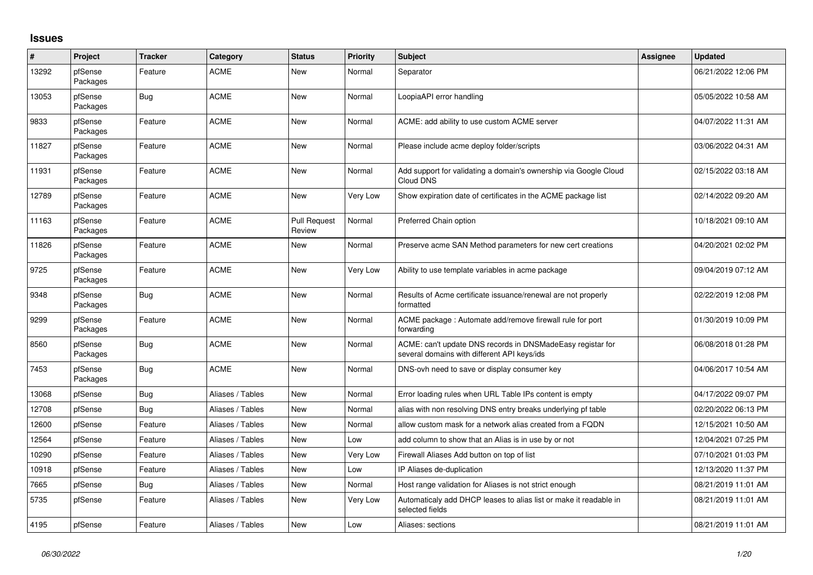## **Issues**

| $\pmb{\sharp}$ | Project             | <b>Tracker</b> | Category         | <b>Status</b>                 | Priority | <b>Subject</b>                                                                                            | Assignee | <b>Updated</b>      |
|----------------|---------------------|----------------|------------------|-------------------------------|----------|-----------------------------------------------------------------------------------------------------------|----------|---------------------|
| 13292          | pfSense<br>Packages | Feature        | <b>ACME</b>      | New                           | Normal   | Separator                                                                                                 |          | 06/21/2022 12:06 PM |
| 13053          | pfSense<br>Packages | <b>Bug</b>     | <b>ACME</b>      | <b>New</b>                    | Normal   | LoopiaAPI error handling                                                                                  |          | 05/05/2022 10:58 AM |
| 9833           | pfSense<br>Packages | Feature        | <b>ACME</b>      | New                           | Normal   | ACME: add ability to use custom ACME server                                                               |          | 04/07/2022 11:31 AM |
| 11827          | pfSense<br>Packages | Feature        | <b>ACME</b>      | <b>New</b>                    | Normal   | Please include acme deploy folder/scripts                                                                 |          | 03/06/2022 04:31 AM |
| 11931          | pfSense<br>Packages | Feature        | <b>ACME</b>      | <b>New</b>                    | Normal   | Add support for validating a domain's ownership via Google Cloud<br>Cloud DNS                             |          | 02/15/2022 03:18 AM |
| 12789          | pfSense<br>Packages | Feature        | <b>ACME</b>      | New                           | Very Low | Show expiration date of certificates in the ACME package list                                             |          | 02/14/2022 09:20 AM |
| 11163          | pfSense<br>Packages | Feature        | <b>ACME</b>      | <b>Pull Request</b><br>Review | Normal   | Preferred Chain option                                                                                    |          | 10/18/2021 09:10 AM |
| 11826          | pfSense<br>Packages | Feature        | <b>ACME</b>      | New                           | Normal   | Preserve acme SAN Method parameters for new cert creations                                                |          | 04/20/2021 02:02 PM |
| 9725           | pfSense<br>Packages | Feature        | <b>ACME</b>      | New                           | Very Low | Ability to use template variables in acme package                                                         |          | 09/04/2019 07:12 AM |
| 9348           | pfSense<br>Packages | <b>Bug</b>     | <b>ACME</b>      | New                           | Normal   | Results of Acme certificate issuance/renewal are not properly<br>formatted                                |          | 02/22/2019 12:08 PM |
| 9299           | pfSense<br>Packages | Feature        | <b>ACME</b>      | <b>New</b>                    | Normal   | ACME package: Automate add/remove firewall rule for port<br>forwarding                                    |          | 01/30/2019 10:09 PM |
| 8560           | pfSense<br>Packages | Bug            | <b>ACME</b>      | New                           | Normal   | ACME: can't update DNS records in DNSMadeEasy registar for<br>several domains with different API keys/ids |          | 06/08/2018 01:28 PM |
| 7453           | pfSense<br>Packages | Bug            | <b>ACME</b>      | New                           | Normal   | DNS-ovh need to save or display consumer key                                                              |          | 04/06/2017 10:54 AM |
| 13068          | pfSense             | <b>Bug</b>     | Aliases / Tables | New                           | Normal   | Error loading rules when URL Table IPs content is empty                                                   |          | 04/17/2022 09:07 PM |
| 12708          | pfSense             | Bug            | Aliases / Tables | New                           | Normal   | alias with non resolving DNS entry breaks underlying pf table                                             |          | 02/20/2022 06:13 PM |
| 12600          | pfSense             | Feature        | Aliases / Tables | New                           | Normal   | allow custom mask for a network alias created from a FQDN                                                 |          | 12/15/2021 10:50 AM |
| 12564          | pfSense             | Feature        | Aliases / Tables | New                           | Low      | add column to show that an Alias is in use by or not                                                      |          | 12/04/2021 07:25 PM |
| 10290          | pfSense             | Feature        | Aliases / Tables | New                           | Very Low | Firewall Aliases Add button on top of list                                                                |          | 07/10/2021 01:03 PM |
| 10918          | pfSense             | Feature        | Aliases / Tables | New                           | Low      | IP Aliases de-duplication                                                                                 |          | 12/13/2020 11:37 PM |
| 7665           | pfSense             | <b>Bug</b>     | Aliases / Tables | <b>New</b>                    | Normal   | Host range validation for Aliases is not strict enough                                                    |          | 08/21/2019 11:01 AM |
| 5735           | pfSense             | Feature        | Aliases / Tables | New                           | Very Low | Automaticaly add DHCP leases to alias list or make it readable in<br>selected fields                      |          | 08/21/2019 11:01 AM |
| 4195           | pfSense             | Feature        | Aliases / Tables | New                           | Low      | Aliases: sections                                                                                         |          | 08/21/2019 11:01 AM |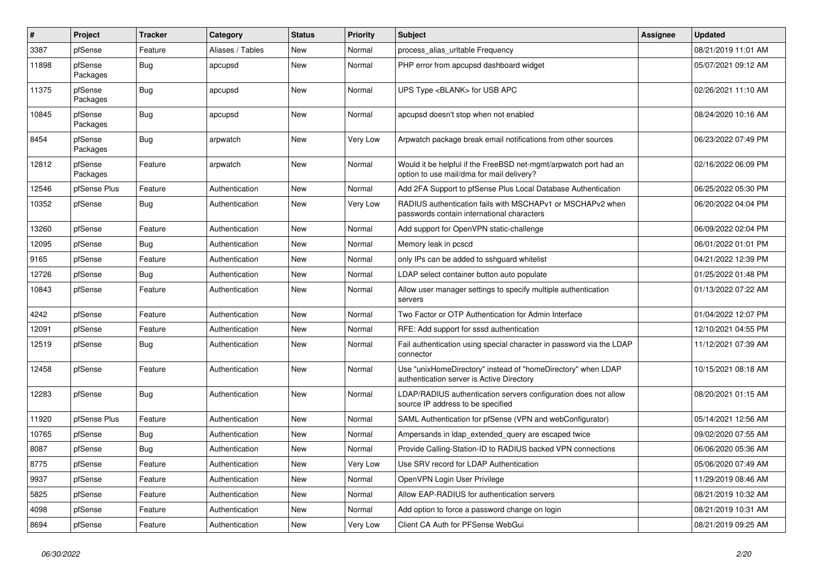| $\vert$ # | Project             | <b>Tracker</b> | Category         | <b>Status</b> | <b>Priority</b> | <b>Subject</b>                                                                                                | Assignee | <b>Updated</b>      |
|-----------|---------------------|----------------|------------------|---------------|-----------------|---------------------------------------------------------------------------------------------------------------|----------|---------------------|
| 3387      | pfSense             | Feature        | Aliases / Tables | New           | Normal          | process alias urltable Frequency                                                                              |          | 08/21/2019 11:01 AM |
| 11898     | pfSense<br>Packages | Bug            | apcupsd          | New           | Normal          | PHP error from apcupsd dashboard widget                                                                       |          | 05/07/2021 09:12 AM |
| 11375     | pfSense<br>Packages | Bug            | apcupsd          | New           | Normal          | UPS Type <blank> for USB APC</blank>                                                                          |          | 02/26/2021 11:10 AM |
| 10845     | pfSense<br>Packages | <b>Bug</b>     | apcupsd          | <b>New</b>    | Normal          | apcupsd doesn't stop when not enabled                                                                         |          | 08/24/2020 10:16 AM |
| 8454      | pfSense<br>Packages | <b>Bug</b>     | arpwatch         | New           | <b>Very Low</b> | Arpwatch package break email notifications from other sources                                                 |          | 06/23/2022 07:49 PM |
| 12812     | pfSense<br>Packages | Feature        | arpwatch         | New           | Normal          | Would it be helpful if the FreeBSD net-mgmt/arpwatch port had an<br>option to use mail/dma for mail delivery? |          | 02/16/2022 06:09 PM |
| 12546     | pfSense Plus        | Feature        | Authentication   | New           | Normal          | Add 2FA Support to pfSense Plus Local Database Authentication                                                 |          | 06/25/2022 05:30 PM |
| 10352     | pfSense             | <b>Bug</b>     | Authentication   | New           | Very Low        | RADIUS authentication fails with MSCHAPv1 or MSCHAPv2 when<br>passwords contain international characters      |          | 06/20/2022 04:04 PM |
| 13260     | pfSense             | Feature        | Authentication   | New           | Normal          | Add support for OpenVPN static-challenge                                                                      |          | 06/09/2022 02:04 PM |
| 12095     | pfSense             | <b>Bug</b>     | Authentication   | <b>New</b>    | Normal          | Memory leak in pcscd                                                                                          |          | 06/01/2022 01:01 PM |
| 9165      | pfSense             | Feature        | Authentication   | <b>New</b>    | Normal          | only IPs can be added to sshguard whitelist                                                                   |          | 04/21/2022 12:39 PM |
| 12726     | pfSense             | <b>Bug</b>     | Authentication   | <b>New</b>    | Normal          | LDAP select container button auto populate                                                                    |          | 01/25/2022 01:48 PM |
| 10843     | pfSense             | Feature        | Authentication   | New           | Normal          | Allow user manager settings to specify multiple authentication<br>servers                                     |          | 01/13/2022 07:22 AM |
| 4242      | pfSense             | Feature        | Authentication   | <b>New</b>    | Normal          | Two Factor or OTP Authentication for Admin Interface                                                          |          | 01/04/2022 12:07 PM |
| 12091     | pfSense             | Feature        | Authentication   | New           | Normal          | RFE: Add support for sssd authentication                                                                      |          | 12/10/2021 04:55 PM |
| 12519     | pfSense             | Bug            | Authentication   | New           | Normal          | Fail authentication using special character in password via the LDAP<br>connector                             |          | 11/12/2021 07:39 AM |
| 12458     | pfSense             | Feature        | Authentication   | <b>New</b>    | Normal          | Use "unixHomeDirectory" instead of "homeDirectory" when LDAP<br>authentication server is Active Directory     |          | 10/15/2021 08:18 AM |
| 12283     | pfSense             | <b>Bug</b>     | Authentication   | New           | Normal          | LDAP/RADIUS authentication servers configuration does not allow<br>source IP address to be specified          |          | 08/20/2021 01:15 AM |
| 11920     | pfSense Plus        | Feature        | Authentication   | New           | Normal          | SAML Authentication for pfSense (VPN and webConfigurator)                                                     |          | 05/14/2021 12:56 AM |
| 10765     | pfSense             | Bug            | Authentication   | New           | Normal          | Ampersands in Idap extended query are escaped twice                                                           |          | 09/02/2020 07:55 AM |
| 8087      | pfSense             | Bug            | Authentication   | New           | Normal          | Provide Calling-Station-ID to RADIUS backed VPN connections                                                   |          | 06/06/2020 05:36 AM |
| 8775      | pfSense             | Feature        | Authentication   | New           | Very Low        | Use SRV record for LDAP Authentication                                                                        |          | 05/06/2020 07:49 AM |
| 9937      | pfSense             | Feature        | Authentication   | New           | Normal          | OpenVPN Login User Privilege                                                                                  |          | 11/29/2019 08:46 AM |
| 5825      | pfSense             | Feature        | Authentication   | New           | Normal          | Allow EAP-RADIUS for authentication servers                                                                   |          | 08/21/2019 10:32 AM |
| 4098      | pfSense             | Feature        | Authentication   | New           | Normal          | Add option to force a password change on login                                                                |          | 08/21/2019 10:31 AM |
| 8694      | pfSense             | Feature        | Authentication   | New           | Very Low        | Client CA Auth for PFSense WebGui                                                                             |          | 08/21/2019 09:25 AM |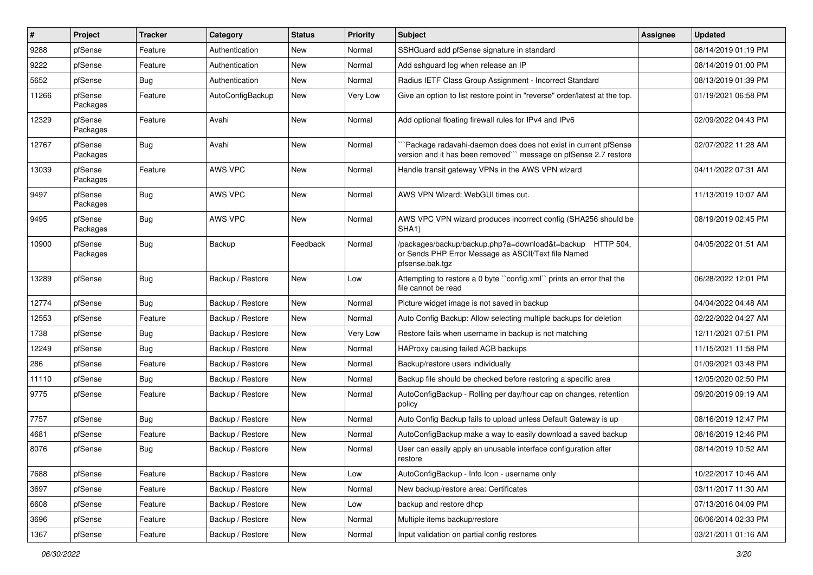| #     | Project             | <b>Tracker</b> | Category         | <b>Status</b> | <b>Priority</b> | Subject                                                                                                                             | Assignee | <b>Updated</b>      |
|-------|---------------------|----------------|------------------|---------------|-----------------|-------------------------------------------------------------------------------------------------------------------------------------|----------|---------------------|
| 9288  | pfSense             | Feature        | Authentication   | New           | Normal          | SSHGuard add pfSense signature in standard                                                                                          |          | 08/14/2019 01:19 PM |
| 9222  | pfSense             | Feature        | Authentication   | New           | Normal          | Add sshguard log when release an IP                                                                                                 |          | 08/14/2019 01:00 PM |
| 5652  | pfSense             | Bug            | Authentication   | New           | Normal          | Radius IETF Class Group Assignment - Incorrect Standard                                                                             |          | 08/13/2019 01:39 PM |
| 11266 | pfSense<br>Packages | Feature        | AutoConfigBackup | New           | Very Low        | Give an option to list restore point in "reverse" order/latest at the top.                                                          |          | 01/19/2021 06:58 PM |
| 12329 | pfSense<br>Packages | Feature        | Avahi            | New           | Normal          | Add optional floating firewall rules for IPv4 and IPv6                                                                              |          | 02/09/2022 04:43 PM |
| 12767 | pfSense<br>Packages | <b>Bug</b>     | Avahi            | New           | Normal          | Package radavahi-daemon does does not exist in current pfSense<br>version and it has been removed" message on pfSense 2.7 restore   |          | 02/07/2022 11:28 AM |
| 13039 | pfSense<br>Packages | Feature        | AWS VPC          | New           | Normal          | Handle transit gateway VPNs in the AWS VPN wizard                                                                                   |          | 04/11/2022 07:31 AM |
| 9497  | pfSense<br>Packages | <b>Bug</b>     | AWS VPC          | New           | Normal          | AWS VPN Wizard: WebGUI times out.                                                                                                   |          | 11/13/2019 10:07 AM |
| 9495  | pfSense<br>Packages | <b>Bug</b>     | AWS VPC          | New           | Normal          | AWS VPC VPN wizard produces incorrect config (SHA256 should be<br>SHA1)                                                             |          | 08/19/2019 02:45 PM |
| 10900 | pfSense<br>Packages | <b>Bug</b>     | Backup           | Feedback      | Normal          | /packages/backup/backup.php?a=download&t=backup HTTP 504,<br>or Sends PHP Error Message as ASCII/Text file Named<br>pfsense.bak.tgz |          | 04/05/2022 01:51 AM |
| 13289 | pfSense             | <b>Bug</b>     | Backup / Restore | New           | Low             | Attempting to restore a 0 byte "config.xml" prints an error that the<br>file cannot be read                                         |          | 06/28/2022 12:01 PM |
| 12774 | pfSense             | <b>Bug</b>     | Backup / Restore | New           | Normal          | Picture widget image is not saved in backup                                                                                         |          | 04/04/2022 04:48 AM |
| 12553 | pfSense             | Feature        | Backup / Restore | New           | Normal          | Auto Config Backup: Allow selecting multiple backups for deletion                                                                   |          | 02/22/2022 04:27 AM |
| 1738  | pfSense             | <b>Bug</b>     | Backup / Restore | New           | Very Low        | Restore fails when username in backup is not matching                                                                               |          | 12/11/2021 07:51 PM |
| 12249 | pfSense             | <b>Bug</b>     | Backup / Restore | New           | Normal          | HAProxy causing failed ACB backups                                                                                                  |          | 11/15/2021 11:58 PM |
| 286   | pfSense             | Feature        | Backup / Restore | New           | Normal          | Backup/restore users individually                                                                                                   |          | 01/09/2021 03:48 PM |
| 11110 | pfSense             | <b>Bug</b>     | Backup / Restore | New           | Normal          | Backup file should be checked before restoring a specific area                                                                      |          | 12/05/2020 02:50 PM |
| 9775  | pfSense             | Feature        | Backup / Restore | New           | Normal          | AutoConfigBackup - Rolling per day/hour cap on changes, retention<br>policy                                                         |          | 09/20/2019 09:19 AM |
| 7757  | pfSense             | <b>Bug</b>     | Backup / Restore | New           | Normal          | Auto Config Backup fails to upload unless Default Gateway is up                                                                     |          | 08/16/2019 12:47 PM |
| 4681  | pfSense             | Feature        | Backup / Restore | New           | Normal          | AutoConfigBackup make a way to easily download a saved backup                                                                       |          | 08/16/2019 12:46 PM |
| 8076  | pfSense             | <b>Bug</b>     | Backup / Restore | New           | Normal          | User can easily apply an unusable interface configuration after<br>restore                                                          |          | 08/14/2019 10:52 AM |
| 7688  | pfSense             | Feature        | Backup / Restore | New           | Low             | AutoConfigBackup - Info Icon - username only                                                                                        |          | 10/22/2017 10:46 AM |
| 3697  | pfSense             | Feature        | Backup / Restore | New           | Normal          | New backup/restore area: Certificates                                                                                               |          | 03/11/2017 11:30 AM |
| 6608  | pfSense             | Feature        | Backup / Restore | New           | Low             | backup and restore dhcp                                                                                                             |          | 07/13/2016 04:09 PM |
| 3696  | pfSense             | Feature        | Backup / Restore | New           | Normal          | Multiple items backup/restore                                                                                                       |          | 06/06/2014 02:33 PM |
| 1367  | pfSense             | Feature        | Backup / Restore | New           | Normal          | Input validation on partial config restores                                                                                         |          | 03/21/2011 01:16 AM |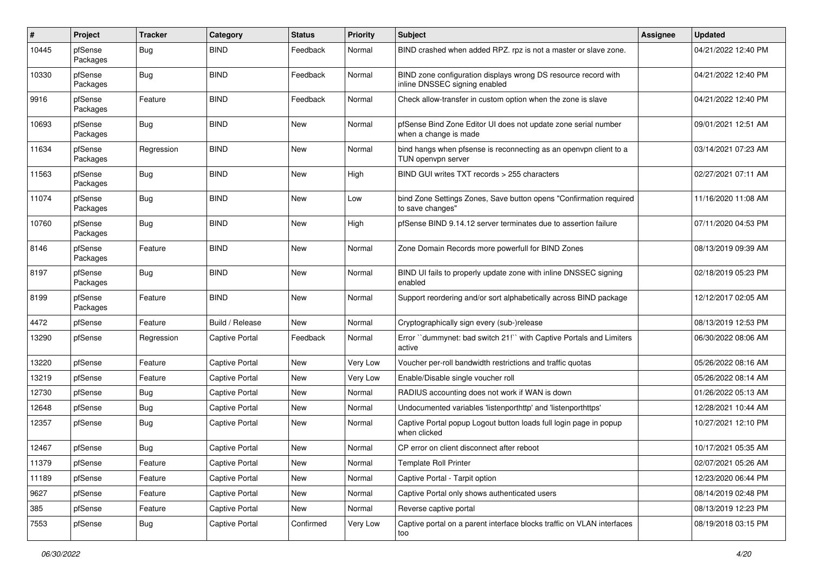| $\sharp$ | Project             | <b>Tracker</b> | Category              | <b>Status</b> | <b>Priority</b> | Subject                                                                                         | Assignee | <b>Updated</b>      |
|----------|---------------------|----------------|-----------------------|---------------|-----------------|-------------------------------------------------------------------------------------------------|----------|---------------------|
| 10445    | pfSense<br>Packages | <b>Bug</b>     | <b>BIND</b>           | Feedback      | Normal          | BIND crashed when added RPZ. rpz is not a master or slave zone.                                 |          | 04/21/2022 12:40 PM |
| 10330    | pfSense<br>Packages | Bug            | <b>BIND</b>           | Feedback      | Normal          | BIND zone configuration displays wrong DS resource record with<br>inline DNSSEC signing enabled |          | 04/21/2022 12:40 PM |
| 9916     | pfSense<br>Packages | Feature        | <b>BIND</b>           | Feedback      | Normal          | Check allow-transfer in custom option when the zone is slave                                    |          | 04/21/2022 12:40 PM |
| 10693    | pfSense<br>Packages | <b>Bug</b>     | <b>BIND</b>           | New           | Normal          | pfSense Bind Zone Editor UI does not update zone serial number<br>when a change is made         |          | 09/01/2021 12:51 AM |
| 11634    | pfSense<br>Packages | Regression     | <b>BIND</b>           | New           | Normal          | bind hangs when pfsense is reconnecting as an openvpn client to a<br>TUN openvpn server         |          | 03/14/2021 07:23 AM |
| 11563    | pfSense<br>Packages | <b>Bug</b>     | <b>BIND</b>           | New           | High            | BIND GUI writes TXT records > 255 characters                                                    |          | 02/27/2021 07:11 AM |
| 11074    | pfSense<br>Packages | Bug            | <b>BIND</b>           | <b>New</b>    | Low             | bind Zone Settings Zones, Save button opens "Confirmation required<br>to save changes"          |          | 11/16/2020 11:08 AM |
| 10760    | pfSense<br>Packages | <b>Bug</b>     | <b>BIND</b>           | <b>New</b>    | High            | pfSense BIND 9.14.12 server terminates due to assertion failure                                 |          | 07/11/2020 04:53 PM |
| 8146     | pfSense<br>Packages | Feature        | <b>BIND</b>           | New           | Normal          | Zone Domain Records more powerfull for BIND Zones                                               |          | 08/13/2019 09:39 AM |
| 8197     | pfSense<br>Packages | <b>Bug</b>     | <b>BIND</b>           | New           | Normal          | BIND UI fails to properly update zone with inline DNSSEC signing<br>enabled                     |          | 02/18/2019 05:23 PM |
| 8199     | pfSense<br>Packages | Feature        | <b>BIND</b>           | New           | Normal          | Support reordering and/or sort alphabetically across BIND package                               |          | 12/12/2017 02:05 AM |
| 4472     | pfSense             | Feature        | Build / Release       | New           | Normal          | Cryptographically sign every (sub-)release                                                      |          | 08/13/2019 12:53 PM |
| 13290    | pfSense             | Regression     | <b>Captive Portal</b> | Feedback      | Normal          | Error "dummynet: bad switch 21!" with Captive Portals and Limiters<br>active                    |          | 06/30/2022 08:06 AM |
| 13220    | pfSense             | Feature        | <b>Captive Portal</b> | New           | Very Low        | Voucher per-roll bandwidth restrictions and traffic quotas                                      |          | 05/26/2022 08:16 AM |
| 13219    | pfSense             | Feature        | <b>Captive Portal</b> | New           | Very Low        | Enable/Disable single voucher roll                                                              |          | 05/26/2022 08:14 AM |
| 12730    | pfSense             | <b>Bug</b>     | <b>Captive Portal</b> | New           | Normal          | RADIUS accounting does not work if WAN is down                                                  |          | 01/26/2022 05:13 AM |
| 12648    | pfSense             | Bug            | <b>Captive Portal</b> | New           | Normal          | Undocumented variables 'listenporthttp' and 'listenporthttps'                                   |          | 12/28/2021 10:44 AM |
| 12357    | pfSense             | <b>Bug</b>     | <b>Captive Portal</b> | New           | Normal          | Captive Portal popup Logout button loads full login page in popup<br>when clicked               |          | 10/27/2021 12:10 PM |
| 12467    | pfSense             | Bug            | Captive Portal        | <b>New</b>    | Normal          | CP error on client disconnect after reboot                                                      |          | 10/17/2021 05:35 AM |
| 11379    | pfSense             | Feature        | <b>Captive Portal</b> | New           | Normal          | <b>Template Roll Printer</b>                                                                    |          | 02/07/2021 05:26 AM |
| 11189    | pfSense             | Feature        | <b>Captive Portal</b> | New           | Normal          | Captive Portal - Tarpit option                                                                  |          | 12/23/2020 06:44 PM |
| 9627     | pfSense             | Feature        | Captive Portal        | New           | Normal          | Captive Portal only shows authenticated users                                                   |          | 08/14/2019 02:48 PM |
| 385      | pfSense             | Feature        | Captive Portal        | New           | Normal          | Reverse captive portal                                                                          |          | 08/13/2019 12:23 PM |
| 7553     | pfSense             | Bug            | Captive Portal        | Confirmed     | Very Low        | Captive portal on a parent interface blocks traffic on VLAN interfaces<br>too                   |          | 08/19/2018 03:15 PM |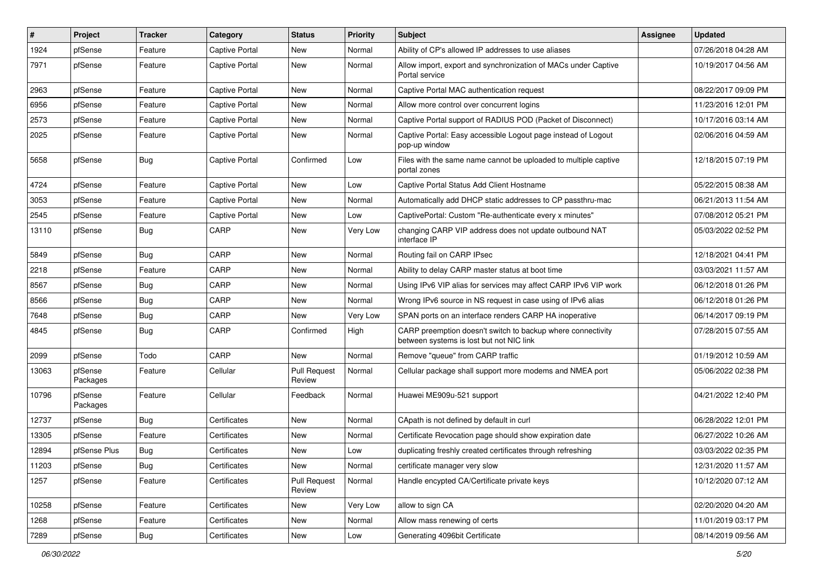| $\vert$ # | Project             | <b>Tracker</b> | Category              | <b>Status</b>                 | <b>Priority</b> | Subject                                                                                                 | Assignee | <b>Updated</b>      |
|-----------|---------------------|----------------|-----------------------|-------------------------------|-----------------|---------------------------------------------------------------------------------------------------------|----------|---------------------|
| 1924      | pfSense             | Feature        | Captive Portal        | New                           | Normal          | Ability of CP's allowed IP addresses to use aliases                                                     |          | 07/26/2018 04:28 AM |
| 7971      | pfSense             | Feature        | <b>Captive Portal</b> | New                           | Normal          | Allow import, export and synchronization of MACs under Captive<br>Portal service                        |          | 10/19/2017 04:56 AM |
| 2963      | pfSense             | Feature        | <b>Captive Portal</b> | New                           | Normal          | Captive Portal MAC authentication request                                                               |          | 08/22/2017 09:09 PM |
| 6956      | pfSense             | Feature        | Captive Portal        | New                           | Normal          | Allow more control over concurrent logins                                                               |          | 11/23/2016 12:01 PM |
| 2573      | pfSense             | Feature        | <b>Captive Portal</b> | New                           | Normal          | Captive Portal support of RADIUS POD (Packet of Disconnect)                                             |          | 10/17/2016 03:14 AM |
| 2025      | pfSense             | Feature        | <b>Captive Portal</b> | New                           | Normal          | Captive Portal: Easy accessible Logout page instead of Logout<br>pop-up window                          |          | 02/06/2016 04:59 AM |
| 5658      | pfSense             | <b>Bug</b>     | <b>Captive Portal</b> | Confirmed                     | Low             | Files with the same name cannot be uploaded to multiple captive<br>portal zones                         |          | 12/18/2015 07:19 PM |
| 4724      | pfSense             | Feature        | <b>Captive Portal</b> | New                           | Low             | Captive Portal Status Add Client Hostname                                                               |          | 05/22/2015 08:38 AM |
| 3053      | pfSense             | Feature        | Captive Portal        | New                           | Normal          | Automatically add DHCP static addresses to CP passthru-mac                                              |          | 06/21/2013 11:54 AM |
| 2545      | pfSense             | Feature        | Captive Portal        | New                           | Low             | CaptivePortal: Custom "Re-authenticate every x minutes"                                                 |          | 07/08/2012 05:21 PM |
| 13110     | pfSense             | Bug            | CARP                  | New                           | Very Low        | changing CARP VIP address does not update outbound NAT<br>interface IP                                  |          | 05/03/2022 02:52 PM |
| 5849      | pfSense             | <b>Bug</b>     | CARP                  | New                           | Normal          | Routing fail on CARP IPsec                                                                              |          | 12/18/2021 04:41 PM |
| 2218      | pfSense             | Feature        | CARP                  | New                           | Normal          | Ability to delay CARP master status at boot time                                                        |          | 03/03/2021 11:57 AM |
| 8567      | pfSense             | <b>Bug</b>     | CARP                  | New                           | Normal          | Using IPv6 VIP alias for services may affect CARP IPv6 VIP work                                         |          | 06/12/2018 01:26 PM |
| 8566      | pfSense             | Bug            | CARP                  | New                           | Normal          | Wrong IPv6 source in NS request in case using of IPv6 alias                                             |          | 06/12/2018 01:26 PM |
| 7648      | pfSense             | <b>Bug</b>     | CARP                  | New                           | Very Low        | SPAN ports on an interface renders CARP HA inoperative                                                  |          | 06/14/2017 09:19 PM |
| 4845      | pfSense             | <b>Bug</b>     | CARP                  | Confirmed                     | High            | CARP preemption doesn't switch to backup where connectivity<br>between systems is lost but not NIC link |          | 07/28/2015 07:55 AM |
| 2099      | pfSense             | Todo           | CARP                  | New                           | Normal          | Remove "queue" from CARP traffic                                                                        |          | 01/19/2012 10:59 AM |
| 13063     | pfSense<br>Packages | Feature        | Cellular              | <b>Pull Request</b><br>Review | Normal          | Cellular package shall support more modems and NMEA port                                                |          | 05/06/2022 02:38 PM |
| 10796     | pfSense<br>Packages | Feature        | Cellular              | Feedback                      | Normal          | Huawei ME909u-521 support                                                                               |          | 04/21/2022 12:40 PM |
| 12737     | pfSense             | <b>Bug</b>     | Certificates          | New                           | Normal          | CApath is not defined by default in curl                                                                |          | 06/28/2022 12:01 PM |
| 13305     | pfSense             | Feature        | Certificates          | New                           | Normal          | Certificate Revocation page should show expiration date                                                 |          | 06/27/2022 10:26 AM |
| 12894     | pfSense Plus        | <b>Bug</b>     | Certificates          | New                           | Low             | duplicating freshly created certificates through refreshing                                             |          | 03/03/2022 02:35 PM |
| 11203     | pfSense             | <b>Bug</b>     | Certificates          | New                           | Normal          | certificate manager very slow                                                                           |          | 12/31/2020 11:57 AM |
| 1257      | pfSense             | Feature        | Certificates          | <b>Pull Request</b><br>Review | Normal          | Handle encypted CA/Certificate private keys                                                             |          | 10/12/2020 07:12 AM |
| 10258     | pfSense             | Feature        | Certificates          | New                           | Very Low        | allow to sign CA                                                                                        |          | 02/20/2020 04:20 AM |
| 1268      | pfSense             | Feature        | Certificates          | New                           | Normal          | Allow mass renewing of certs                                                                            |          | 11/01/2019 03:17 PM |
| 7289      | pfSense             | Bug            | Certificates          | New                           | Low             | Generating 4096bit Certificate                                                                          |          | 08/14/2019 09:56 AM |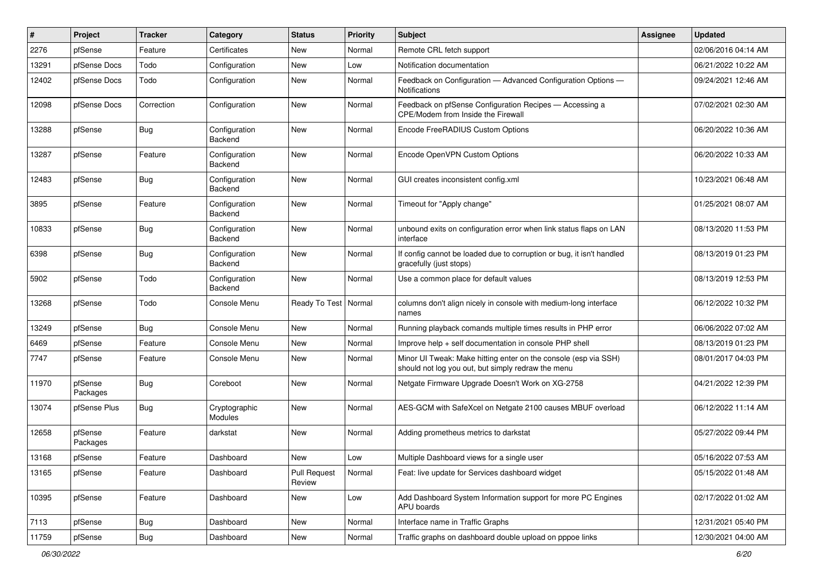| #     | Project             | Tracker    | Category                 | <b>Status</b>                 | <b>Priority</b> | Subject                                                                                                               | Assignee | <b>Updated</b>      |
|-------|---------------------|------------|--------------------------|-------------------------------|-----------------|-----------------------------------------------------------------------------------------------------------------------|----------|---------------------|
| 2276  | pfSense             | Feature    | Certificates             | New                           | Normal          | Remote CRL fetch support                                                                                              |          | 02/06/2016 04:14 AM |
| 13291 | pfSense Docs        | Todo       | Configuration            | <b>New</b>                    | Low             | Notification documentation                                                                                            |          | 06/21/2022 10:22 AM |
| 12402 | pfSense Docs        | Todo       | Configuration            | New                           | Normal          | Feedback on Configuration - Advanced Configuration Options -<br>Notifications                                         |          | 09/24/2021 12:46 AM |
| 12098 | pfSense Docs        | Correction | Configuration            | New                           | Normal          | Feedback on pfSense Configuration Recipes - Accessing a<br>CPE/Modem from Inside the Firewall                         |          | 07/02/2021 02:30 AM |
| 13288 | pfSense             | Bug        | Configuration<br>Backend | New                           | Normal          | Encode FreeRADIUS Custom Options                                                                                      |          | 06/20/2022 10:36 AM |
| 13287 | pfSense             | Feature    | Configuration<br>Backend | New                           | Normal          | Encode OpenVPN Custom Options                                                                                         |          | 06/20/2022 10:33 AM |
| 12483 | pfSense             | Bug        | Configuration<br>Backend | New                           | Normal          | GUI creates inconsistent config.xml                                                                                   |          | 10/23/2021 06:48 AM |
| 3895  | pfSense             | Feature    | Configuration<br>Backend | New                           | Normal          | Timeout for "Apply change"                                                                                            |          | 01/25/2021 08:07 AM |
| 10833 | pfSense             | Bug        | Configuration<br>Backend | New                           | Normal          | unbound exits on configuration error when link status flaps on LAN<br>interface                                       |          | 08/13/2020 11:53 PM |
| 6398  | pfSense             | Bug        | Configuration<br>Backend | New                           | Normal          | If config cannot be loaded due to corruption or bug, it isn't handled<br>gracefully (just stops)                      |          | 08/13/2019 01:23 PM |
| 5902  | pfSense             | Todo       | Configuration<br>Backend | New                           | Normal          | Use a common place for default values                                                                                 |          | 08/13/2019 12:53 PM |
| 13268 | pfSense             | Todo       | Console Menu             | Ready To Test   Normal        |                 | columns don't align nicely in console with medium-long interface<br>names                                             |          | 06/12/2022 10:32 PM |
| 13249 | pfSense             | Bug        | Console Menu             | New                           | Normal          | Running playback comands multiple times results in PHP error                                                          |          | 06/06/2022 07:02 AM |
| 6469  | pfSense             | Feature    | Console Menu             | <b>New</b>                    | Normal          | Improve help + self documentation in console PHP shell                                                                |          | 08/13/2019 01:23 PM |
| 7747  | pfSense             | Feature    | Console Menu             | New                           | Normal          | Minor UI Tweak: Make hitting enter on the console (esp via SSH)<br>should not log you out, but simply redraw the menu |          | 08/01/2017 04:03 PM |
| 11970 | pfSense<br>Packages | Bug        | Coreboot                 | New                           | Normal          | Netgate Firmware Upgrade Doesn't Work on XG-2758                                                                      |          | 04/21/2022 12:39 PM |
| 13074 | pfSense Plus        | Bug        | Cryptographic<br>Modules | New                           | Normal          | AES-GCM with SafeXcel on Netgate 2100 causes MBUF overload                                                            |          | 06/12/2022 11:14 AM |
| 12658 | pfSense<br>Packages | Feature    | darkstat                 | New                           | Normal          | Adding prometheus metrics to darkstat                                                                                 |          | 05/27/2022 09:44 PM |
| 13168 | pfSense             | Feature    | Dashboard                | New                           | Low             | Multiple Dashboard views for a single user                                                                            |          | 05/16/2022 07:53 AM |
| 13165 | pfSense             | Feature    | Dashboard                | <b>Pull Request</b><br>Review | Normal          | Feat: live update for Services dashboard widget                                                                       |          | 05/15/2022 01:48 AM |
| 10395 | pfSense             | Feature    | Dashboard                | New                           | Low             | Add Dashboard System Information support for more PC Engines<br>APU boards                                            |          | 02/17/2022 01:02 AM |
| 7113  | pfSense             | Bug        | Dashboard                | New                           | Normal          | Interface name in Traffic Graphs                                                                                      |          | 12/31/2021 05:40 PM |
| 11759 | pfSense             | <b>Bug</b> | Dashboard                | New                           | Normal          | Traffic graphs on dashboard double upload on pppoe links                                                              |          | 12/30/2021 04:00 AM |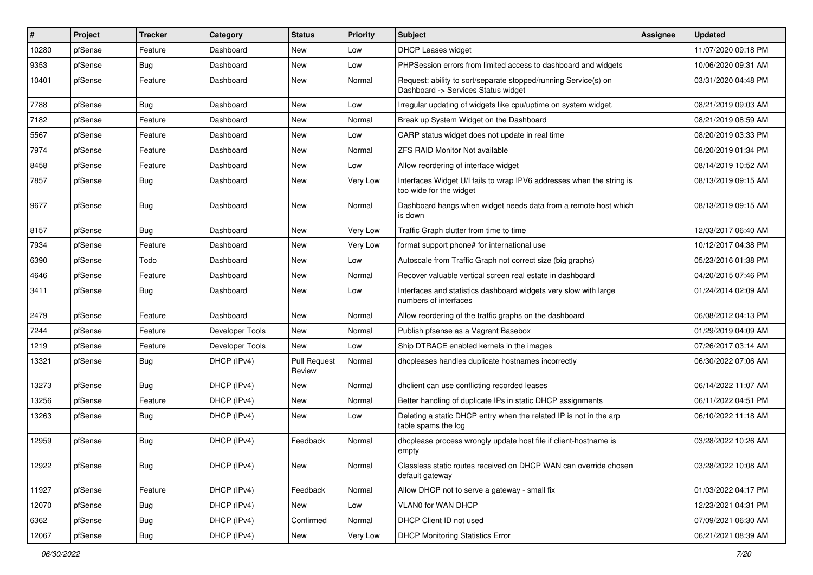| $\vert$ # | Project | <b>Tracker</b> | Category        | <b>Status</b>                 | <b>Priority</b> | Subject                                                                                                | <b>Assignee</b> | <b>Updated</b>      |
|-----------|---------|----------------|-----------------|-------------------------------|-----------------|--------------------------------------------------------------------------------------------------------|-----------------|---------------------|
| 10280     | pfSense | Feature        | Dashboard       | New                           | Low             | <b>DHCP Leases widget</b>                                                                              |                 | 11/07/2020 09:18 PM |
| 9353      | pfSense | Bug            | Dashboard       | New                           | Low             | PHPSession errors from limited access to dashboard and widgets                                         |                 | 10/06/2020 09:31 AM |
| 10401     | pfSense | Feature        | Dashboard       | New                           | Normal          | Request: ability to sort/separate stopped/running Service(s) on<br>Dashboard -> Services Status widget |                 | 03/31/2020 04:48 PM |
| 7788      | pfSense | Bug            | Dashboard       | New                           | Low             | Irregular updating of widgets like cpu/uptime on system widget.                                        |                 | 08/21/2019 09:03 AM |
| 7182      | pfSense | Feature        | Dashboard       | New                           | Normal          | Break up System Widget on the Dashboard                                                                |                 | 08/21/2019 08:59 AM |
| 5567      | pfSense | Feature        | Dashboard       | New                           | Low             | CARP status widget does not update in real time                                                        |                 | 08/20/2019 03:33 PM |
| 7974      | pfSense | Feature        | Dashboard       | New                           | Normal          | ZFS RAID Monitor Not available                                                                         |                 | 08/20/2019 01:34 PM |
| 8458      | pfSense | Feature        | Dashboard       | New                           | Low             | Allow reordering of interface widget                                                                   |                 | 08/14/2019 10:52 AM |
| 7857      | pfSense | Bug            | Dashboard       | New                           | Very Low        | Interfaces Widget U/I fails to wrap IPV6 addresses when the string is<br>too wide for the widget       |                 | 08/13/2019 09:15 AM |
| 9677      | pfSense | Bug            | Dashboard       | New                           | Normal          | Dashboard hangs when widget needs data from a remote host which<br>is down                             |                 | 08/13/2019 09:15 AM |
| 8157      | pfSense | Bug            | Dashboard       | New                           | Very Low        | Traffic Graph clutter from time to time                                                                |                 | 12/03/2017 06:40 AM |
| 7934      | pfSense | Feature        | Dashboard       | New                           | Very Low        | format support phone# for international use                                                            |                 | 10/12/2017 04:38 PM |
| 6390      | pfSense | Todo           | Dashboard       | New                           | Low             | Autoscale from Traffic Graph not correct size (big graphs)                                             |                 | 05/23/2016 01:38 PM |
| 4646      | pfSense | Feature        | Dashboard       | New                           | Normal          | Recover valuable vertical screen real estate in dashboard                                              |                 | 04/20/2015 07:46 PM |
| 3411      | pfSense | Bug            | Dashboard       | New                           | Low             | Interfaces and statistics dashboard widgets very slow with large<br>numbers of interfaces              |                 | 01/24/2014 02:09 AM |
| 2479      | pfSense | Feature        | Dashboard       | <b>New</b>                    | Normal          | Allow reordering of the traffic graphs on the dashboard                                                |                 | 06/08/2012 04:13 PM |
| 7244      | pfSense | Feature        | Developer Tools | New                           | Normal          | Publish pfsense as a Vagrant Basebox                                                                   |                 | 01/29/2019 04:09 AM |
| 1219      | pfSense | Feature        | Developer Tools | New                           | Low             | Ship DTRACE enabled kernels in the images                                                              |                 | 07/26/2017 03:14 AM |
| 13321     | pfSense | Bug            | DHCP (IPv4)     | <b>Pull Request</b><br>Review | Normal          | dhcpleases handles duplicate hostnames incorrectly                                                     |                 | 06/30/2022 07:06 AM |
| 13273     | pfSense | Bug            | DHCP (IPv4)     | New                           | Normal          | dhclient can use conflicting recorded leases                                                           |                 | 06/14/2022 11:07 AM |
| 13256     | pfSense | Feature        | DHCP (IPv4)     | New                           | Normal          | Better handling of duplicate IPs in static DHCP assignments                                            |                 | 06/11/2022 04:51 PM |
| 13263     | pfSense | Bug            | DHCP (IPv4)     | New                           | Low             | Deleting a static DHCP entry when the related IP is not in the arp<br>table spams the log              |                 | 06/10/2022 11:18 AM |
| 12959     | pfSense | Bug            | DHCP (IPv4)     | Feedback                      | Normal          | dhcplease process wrongly update host file if client-hostname is<br>empty                              |                 | 03/28/2022 10:26 AM |
| 12922     | pfSense | Bug            | DHCP (IPv4)     | New                           | Normal          | Classless static routes received on DHCP WAN can override chosen<br>default gateway                    |                 | 03/28/2022 10:08 AM |
| 11927     | pfSense | Feature        | DHCP (IPv4)     | Feedback                      | Normal          | Allow DHCP not to serve a gateway - small fix                                                          |                 | 01/03/2022 04:17 PM |
| 12070     | pfSense | Bug            | DHCP (IPv4)     | New                           | Low             | VLAN0 for WAN DHCP                                                                                     |                 | 12/23/2021 04:31 PM |
| 6362      | pfSense | Bug            | DHCP (IPv4)     | Confirmed                     | Normal          | DHCP Client ID not used                                                                                |                 | 07/09/2021 06:30 AM |
| 12067     | pfSense | Bug            | DHCP (IPv4)     | New                           | Very Low        | <b>DHCP Monitoring Statistics Error</b>                                                                |                 | 06/21/2021 08:39 AM |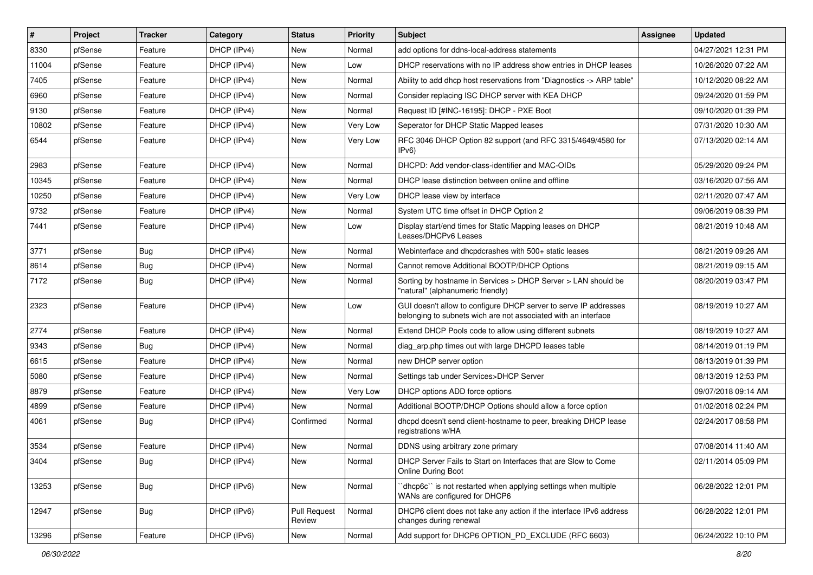| #     | Project | <b>Tracker</b> | Category    | <b>Status</b>          | <b>Priority</b> | Subject                                                                                                                            | Assignee | <b>Updated</b>      |
|-------|---------|----------------|-------------|------------------------|-----------------|------------------------------------------------------------------------------------------------------------------------------------|----------|---------------------|
| 8330  | pfSense | Feature        | DHCP (IPv4) | New                    | Normal          | add options for ddns-local-address statements                                                                                      |          | 04/27/2021 12:31 PM |
| 11004 | pfSense | Feature        | DHCP (IPv4) | New                    | Low             | DHCP reservations with no IP address show entries in DHCP leases                                                                   |          | 10/26/2020 07:22 AM |
| 7405  | pfSense | Feature        | DHCP (IPv4) | New                    | Normal          | Ability to add dhcp host reservations from "Diagnostics -> ARP table"                                                              |          | 10/12/2020 08:22 AM |
| 6960  | pfSense | Feature        | DHCP (IPv4) | New                    | Normal          | Consider replacing ISC DHCP server with KEA DHCP                                                                                   |          | 09/24/2020 01:59 PM |
| 9130  | pfSense | Feature        | DHCP (IPv4) | New                    | Normal          | Request ID [#INC-16195]: DHCP - PXE Boot                                                                                           |          | 09/10/2020 01:39 PM |
| 10802 | pfSense | Feature        | DHCP (IPv4) | New                    | Very Low        | Seperator for DHCP Static Mapped leases                                                                                            |          | 07/31/2020 10:30 AM |
| 6544  | pfSense | Feature        | DHCP (IPv4) | New                    | Very Low        | RFC 3046 DHCP Option 82 support (and RFC 3315/4649/4580 for<br>IPv6)                                                               |          | 07/13/2020 02:14 AM |
| 2983  | pfSense | Feature        | DHCP (IPv4) | New                    | Normal          | DHCPD: Add vendor-class-identifier and MAC-OIDs                                                                                    |          | 05/29/2020 09:24 PM |
| 10345 | pfSense | Feature        | DHCP (IPv4) | New                    | Normal          | DHCP lease distinction between online and offline                                                                                  |          | 03/16/2020 07:56 AM |
| 10250 | pfSense | Feature        | DHCP (IPv4) | New                    | Very Low        | DHCP lease view by interface                                                                                                       |          | 02/11/2020 07:47 AM |
| 9732  | pfSense | Feature        | DHCP (IPv4) | New                    | Normal          | System UTC time offset in DHCP Option 2                                                                                            |          | 09/06/2019 08:39 PM |
| 7441  | pfSense | Feature        | DHCP (IPv4) | New                    | Low             | Display start/end times for Static Mapping leases on DHCP<br>Leases/DHCPv6 Leases                                                  |          | 08/21/2019 10:48 AM |
| 3771  | pfSense | Bug            | DHCP (IPv4) | New                    | Normal          | Webinterface and dhcpdcrashes with 500+ static leases                                                                              |          | 08/21/2019 09:26 AM |
| 8614  | pfSense | Bug            | DHCP (IPv4) | New                    | Normal          | Cannot remove Additional BOOTP/DHCP Options                                                                                        |          | 08/21/2019 09:15 AM |
| 7172  | pfSense | Bug            | DHCP (IPv4) | New                    | Normal          | Sorting by hostname in Services > DHCP Server > LAN should be<br>"natural" (alphanumeric friendly)                                 |          | 08/20/2019 03:47 PM |
| 2323  | pfSense | Feature        | DHCP (IPv4) | New                    | Low             | GUI doesn't allow to configure DHCP server to serve IP addresses<br>belonging to subnets wich are not associated with an interface |          | 08/19/2019 10:27 AM |
| 2774  | pfSense | Feature        | DHCP (IPv4) | New                    | Normal          | Extend DHCP Pools code to allow using different subnets                                                                            |          | 08/19/2019 10:27 AM |
| 9343  | pfSense | Bug            | DHCP (IPv4) | New                    | Normal          | diag arp.php times out with large DHCPD leases table                                                                               |          | 08/14/2019 01:19 PM |
| 6615  | pfSense | Feature        | DHCP (IPv4) | New                    | Normal          | new DHCP server option                                                                                                             |          | 08/13/2019 01:39 PM |
| 5080  | pfSense | Feature        | DHCP (IPv4) | New                    | Normal          | Settings tab under Services>DHCP Server                                                                                            |          | 08/13/2019 12:53 PM |
| 8879  | pfSense | Feature        | DHCP (IPv4) | New                    | Very Low        | DHCP options ADD force options                                                                                                     |          | 09/07/2018 09:14 AM |
| 4899  | pfSense | Feature        | DHCP (IPv4) | New                    | Normal          | Additional BOOTP/DHCP Options should allow a force option                                                                          |          | 01/02/2018 02:24 PM |
| 4061  | pfSense | Bug            | DHCP (IPv4) | Confirmed              | Normal          | dhcpd doesn't send client-hostname to peer, breaking DHCP lease<br>registrations w/HA                                              |          | 02/24/2017 08:58 PM |
| 3534  | pfSense | Feature        | DHCP (IPv4) | New                    | Normal          | DDNS using arbitrary zone primary                                                                                                  |          | 07/08/2014 11:40 AM |
| 3404  | pfSense | Bug            | DHCP (IPv4) | New                    | Normal          | DHCP Server Fails to Start on Interfaces that are Slow to Come<br><b>Online During Boot</b>                                        |          | 02/11/2014 05:09 PM |
| 13253 | pfSense | <b>Bug</b>     | DHCP (IPv6) | New                    | Normal          | dhcp6c" is not restarted when applying settings when multiple<br>WANs are configured for DHCP6                                     |          | 06/28/2022 12:01 PM |
| 12947 | pfSense | <b>Bug</b>     | DHCP (IPv6) | Pull Request<br>Review | Normal          | DHCP6 client does not take any action if the interface IPv6 address<br>changes during renewal                                      |          | 06/28/2022 12:01 PM |
| 13296 | pfSense | Feature        | DHCP (IPv6) | New                    | Normal          | Add support for DHCP6 OPTION PD EXCLUDE (RFC 6603)                                                                                 |          | 06/24/2022 10:10 PM |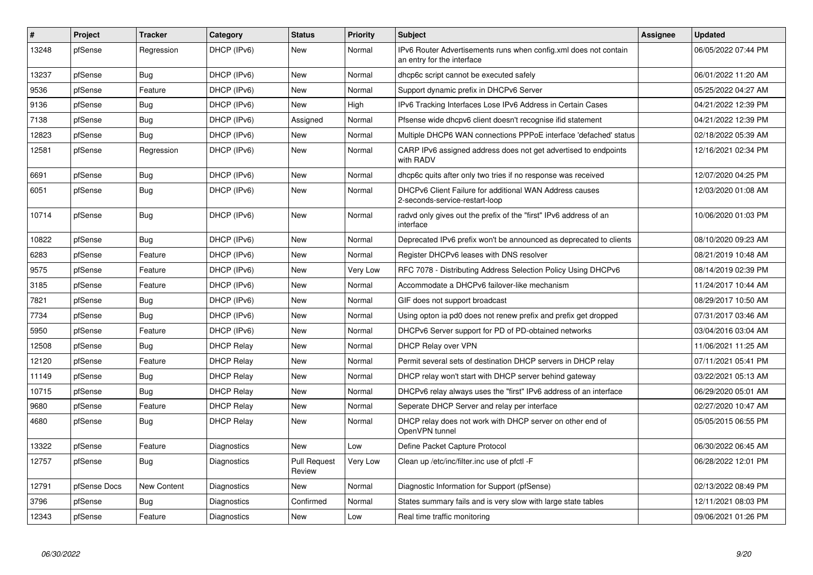| #     | Project      | <b>Tracker</b> | Category          | <b>Status</b>                 | Priority | <b>Subject</b>                                                                                 | Assignee | <b>Updated</b>      |
|-------|--------------|----------------|-------------------|-------------------------------|----------|------------------------------------------------------------------------------------------------|----------|---------------------|
| 13248 | pfSense      | Regression     | DHCP (IPv6)       | New                           | Normal   | IPv6 Router Advertisements runs when config.xml does not contain<br>an entry for the interface |          | 06/05/2022 07:44 PM |
| 13237 | pfSense      | Bug            | DHCP (IPv6)       | <b>New</b>                    | Normal   | dhcp6c script cannot be executed safely                                                        |          | 06/01/2022 11:20 AM |
| 9536  | pfSense      | Feature        | DHCP (IPv6)       | New                           | Normal   | Support dynamic prefix in DHCPv6 Server                                                        |          | 05/25/2022 04:27 AM |
| 9136  | pfSense      | <b>Bug</b>     | DHCP (IPv6)       | New                           | High     | IPv6 Tracking Interfaces Lose IPv6 Address in Certain Cases                                    |          | 04/21/2022 12:39 PM |
| 7138  | pfSense      | Bug            | DHCP (IPv6)       | Assigned                      | Normal   | Pfsense wide dhcpv6 client doesn't recognise ifid statement                                    |          | 04/21/2022 12:39 PM |
| 12823 | pfSense      | Bug            | DHCP (IPv6)       | New                           | Normal   | Multiple DHCP6 WAN connections PPPoE interface 'defached' status                               |          | 02/18/2022 05:39 AM |
| 12581 | pfSense      | Regression     | DHCP (IPv6)       | New                           | Normal   | CARP IPv6 assigned address does not get advertised to endpoints<br>with RADV                   |          | 12/16/2021 02:34 PM |
| 6691  | pfSense      | <b>Bug</b>     | DHCP (IPv6)       | New                           | Normal   | dhcp6c quits after only two tries if no response was received                                  |          | 12/07/2020 04:25 PM |
| 6051  | pfSense      | Bug            | DHCP (IPv6)       | New                           | Normal   | DHCPv6 Client Failure for additional WAN Address causes<br>2-seconds-service-restart-loop      |          | 12/03/2020 01:08 AM |
| 10714 | pfSense      | Bug            | DHCP (IPv6)       | New                           | Normal   | radvd only gives out the prefix of the "first" IPv6 address of an<br>interface                 |          | 10/06/2020 01:03 PM |
| 10822 | pfSense      | Bug            | DHCP (IPv6)       | New                           | Normal   | Deprecated IPv6 prefix won't be announced as deprecated to clients                             |          | 08/10/2020 09:23 AM |
| 6283  | pfSense      | Feature        | DHCP (IPv6)       | New                           | Normal   | Register DHCPv6 leases with DNS resolver                                                       |          | 08/21/2019 10:48 AM |
| 9575  | pfSense      | Feature        | DHCP (IPv6)       | New                           | Very Low | RFC 7078 - Distributing Address Selection Policy Using DHCPv6                                  |          | 08/14/2019 02:39 PM |
| 3185  | pfSense      | Feature        | DHCP (IPv6)       | New                           | Normal   | Accommodate a DHCPv6 failover-like mechanism                                                   |          | 11/24/2017 10:44 AM |
| 7821  | pfSense      | <b>Bug</b>     | DHCP (IPv6)       | <b>New</b>                    | Normal   | GIF does not support broadcast                                                                 |          | 08/29/2017 10:50 AM |
| 7734  | pfSense      | Bug            | DHCP (IPv6)       | New                           | Normal   | Using opton ia pd0 does not renew prefix and prefix get dropped                                |          | 07/31/2017 03:46 AM |
| 5950  | pfSense      | Feature        | DHCP (IPv6)       | <b>New</b>                    | Normal   | DHCPv6 Server support for PD of PD-obtained networks                                           |          | 03/04/2016 03:04 AM |
| 12508 | pfSense      | <b>Bug</b>     | <b>DHCP Relay</b> | New                           | Normal   | DHCP Relay over VPN                                                                            |          | 11/06/2021 11:25 AM |
| 12120 | pfSense      | Feature        | <b>DHCP Relay</b> | <b>New</b>                    | Normal   | Permit several sets of destination DHCP servers in DHCP relay                                  |          | 07/11/2021 05:41 PM |
| 11149 | pfSense      | <b>Bug</b>     | <b>DHCP Relay</b> | New                           | Normal   | DHCP relay won't start with DHCP server behind gateway                                         |          | 03/22/2021 05:13 AM |
| 10715 | pfSense      | Bug            | <b>DHCP Relay</b> | New                           | Normal   | DHCPv6 relay always uses the "first" IPv6 address of an interface                              |          | 06/29/2020 05:01 AM |
| 9680  | pfSense      | Feature        | <b>DHCP Relay</b> | New                           | Normal   | Seperate DHCP Server and relay per interface                                                   |          | 02/27/2020 10:47 AM |
| 4680  | pfSense      | Bug            | <b>DHCP Relay</b> | New                           | Normal   | DHCP relay does not work with DHCP server on other end of<br>OpenVPN tunnel                    |          | 05/05/2015 06:55 PM |
| 13322 | pfSense      | Feature        | Diagnostics       | New                           | Low      | Define Packet Capture Protocol                                                                 |          | 06/30/2022 06:45 AM |
| 12757 | pfSense      | Bug            | Diagnostics       | <b>Pull Request</b><br>Review | Very Low | Clean up /etc/inc/filter.inc use of pfctl -F                                                   |          | 06/28/2022 12:01 PM |
| 12791 | pfSense Docs | New Content    | Diagnostics       | New                           | Normal   | Diagnostic Information for Support (pfSense)                                                   |          | 02/13/2022 08:49 PM |
| 3796  | pfSense      | <b>Bug</b>     | Diagnostics       | Confirmed                     | Normal   | States summary fails and is very slow with large state tables                                  |          | 12/11/2021 08:03 PM |
| 12343 | pfSense      | Feature        | Diagnostics       | New                           | Low      | Real time traffic monitoring                                                                   |          | 09/06/2021 01:26 PM |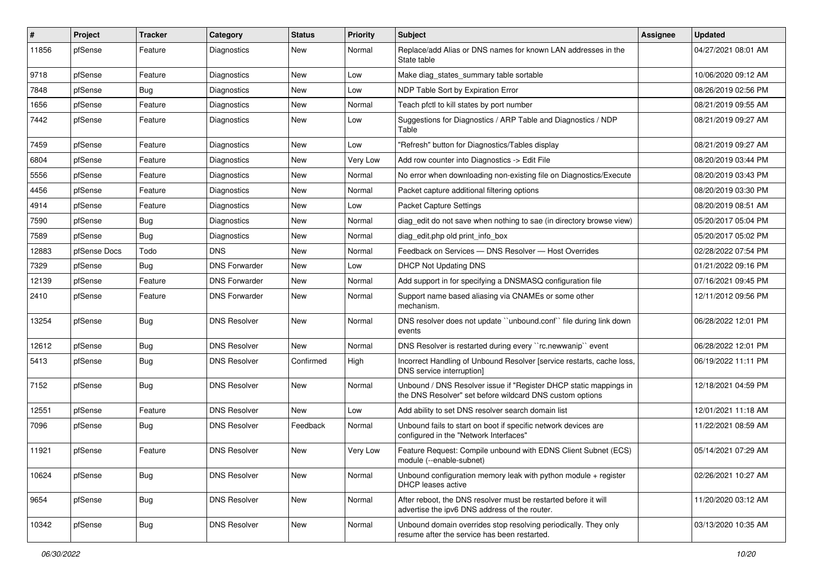| #     | Project      | <b>Tracker</b> | Category             | <b>Status</b> | <b>Priority</b> | <b>Subject</b>                                                                                                                | <b>Assignee</b> | <b>Updated</b>      |
|-------|--------------|----------------|----------------------|---------------|-----------------|-------------------------------------------------------------------------------------------------------------------------------|-----------------|---------------------|
| 11856 | pfSense      | Feature        | Diagnostics          | New           | Normal          | Replace/add Alias or DNS names for known LAN addresses in the<br>State table                                                  |                 | 04/27/2021 08:01 AM |
| 9718  | pfSense      | Feature        | Diagnostics          | New           | Low             | Make diag states summary table sortable                                                                                       |                 | 10/06/2020 09:12 AM |
| 7848  | pfSense      | <b>Bug</b>     | Diagnostics          | New           | Low             | NDP Table Sort by Expiration Error                                                                                            |                 | 08/26/2019 02:56 PM |
| 1656  | pfSense      | Feature        | Diagnostics          | New           | Normal          | Teach pfctl to kill states by port number                                                                                     |                 | 08/21/2019 09:55 AM |
| 7442  | pfSense      | Feature        | Diagnostics          | New           | Low             | Suggestions for Diagnostics / ARP Table and Diagnostics / NDP<br>Table                                                        |                 | 08/21/2019 09:27 AM |
| 7459  | pfSense      | Feature        | Diagnostics          | New           | Low             | "Refresh" button for Diagnostics/Tables display                                                                               |                 | 08/21/2019 09:27 AM |
| 6804  | pfSense      | Feature        | Diagnostics          | New           | Very Low        | Add row counter into Diagnostics -> Edit File                                                                                 |                 | 08/20/2019 03:44 PM |
| 5556  | pfSense      | Feature        | Diagnostics          | <b>New</b>    | Normal          | No error when downloading non-existing file on Diagnostics/Execute                                                            |                 | 08/20/2019 03:43 PM |
| 4456  | pfSense      | Feature        | Diagnostics          | New           | Normal          | Packet capture additional filtering options                                                                                   |                 | 08/20/2019 03:30 PM |
| 4914  | pfSense      | Feature        | Diagnostics          | New           | Low             | <b>Packet Capture Settings</b>                                                                                                |                 | 08/20/2019 08:51 AM |
| 7590  | pfSense      | <b>Bug</b>     | Diagnostics          | New           | Normal          | diag edit do not save when nothing to sae (in directory browse view)                                                          |                 | 05/20/2017 05:04 PM |
| 7589  | pfSense      | <b>Bug</b>     | Diagnostics          | New           | Normal          | diag edit.php old print info box                                                                                              |                 | 05/20/2017 05:02 PM |
| 12883 | pfSense Docs | Todo           | <b>DNS</b>           | New           | Normal          | Feedback on Services - DNS Resolver - Host Overrides                                                                          |                 | 02/28/2022 07:54 PM |
| 7329  | pfSense      | <b>Bug</b>     | <b>DNS Forwarder</b> | New           | Low             | <b>DHCP Not Updating DNS</b>                                                                                                  |                 | 01/21/2022 09:16 PM |
| 12139 | pfSense      | Feature        | <b>DNS Forwarder</b> | New           | Normal          | Add support in for specifying a DNSMASQ configuration file                                                                    |                 | 07/16/2021 09:45 PM |
| 2410  | pfSense      | Feature        | <b>DNS Forwarder</b> | New           | Normal          | Support name based aliasing via CNAMEs or some other<br>mechanism.                                                            |                 | 12/11/2012 09:56 PM |
| 13254 | pfSense      | <b>Bug</b>     | <b>DNS Resolver</b>  | New           | Normal          | DNS resolver does not update "unbound.conf" file during link down<br>events                                                   |                 | 06/28/2022 12:01 PM |
| 12612 | pfSense      | <b>Bug</b>     | <b>DNS Resolver</b>  | New           | Normal          | DNS Resolver is restarted during every "rc.newwanip" event                                                                    |                 | 06/28/2022 12:01 PM |
| 5413  | pfSense      | Bug            | <b>DNS Resolver</b>  | Confirmed     | High            | Incorrect Handling of Unbound Resolver [service restarts, cache loss,<br>DNS service interruption]                            |                 | 06/19/2022 11:11 PM |
| 7152  | pfSense      | <b>Bug</b>     | <b>DNS Resolver</b>  | New           | Normal          | Unbound / DNS Resolver issue if "Register DHCP static mappings in<br>the DNS Resolver" set before wildcard DNS custom options |                 | 12/18/2021 04:59 PM |
| 12551 | pfSense      | Feature        | <b>DNS Resolver</b>  | New           | Low             | Add ability to set DNS resolver search domain list                                                                            |                 | 12/01/2021 11:18 AM |
| 7096  | pfSense      | <b>Bug</b>     | <b>DNS Resolver</b>  | Feedback      | Normal          | Unbound fails to start on boot if specific network devices are<br>configured in the "Network Interfaces"                      |                 | 11/22/2021 08:59 AM |
| 11921 | pfSense      | Feature        | <b>DNS Resolver</b>  | New           | <b>Very Low</b> | Feature Request: Compile unbound with EDNS Client Subnet (ECS)<br>module (--enable-subnet)                                    |                 | 05/14/2021 07:29 AM |
| 10624 | pfSense      | <b>Bug</b>     | <b>DNS Resolver</b>  | New           | Normal          | Unbound configuration memory leak with python module + register<br>DHCP leases active                                         |                 | 02/26/2021 10:27 AM |
| 9654  | pfSense      | <b>Bug</b>     | <b>DNS Resolver</b>  | New           | Normal          | After reboot, the DNS resolver must be restarted before it will<br>advertise the ipv6 DNS address of the router.              |                 | 11/20/2020 03:12 AM |
| 10342 | pfSense      | <b>Bug</b>     | <b>DNS Resolver</b>  | New           | Normal          | Unbound domain overrides stop resolving periodically. They only<br>resume after the service has been restarted.               |                 | 03/13/2020 10:35 AM |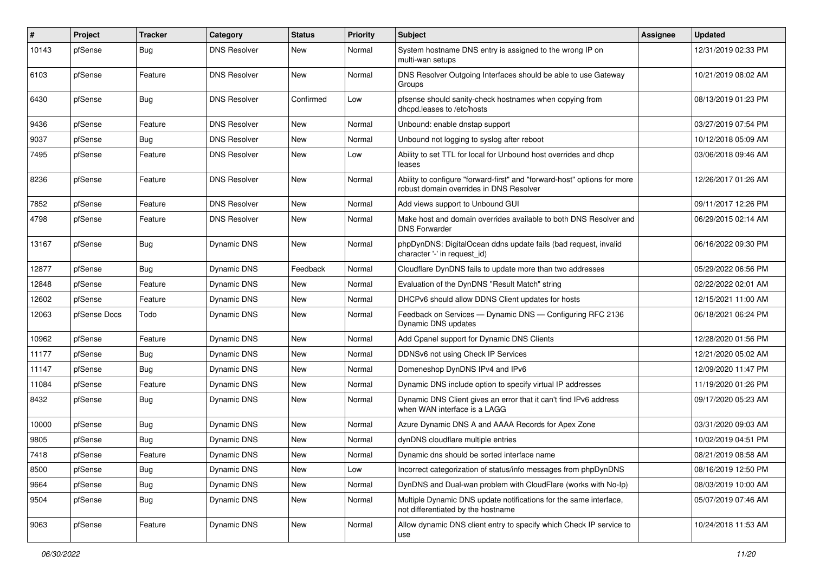| $\vert$ # | Project      | <b>Tracker</b> | Category            | <b>Status</b> | <b>Priority</b> | Subject                                                                                                             | Assignee | <b>Updated</b>      |
|-----------|--------------|----------------|---------------------|---------------|-----------------|---------------------------------------------------------------------------------------------------------------------|----------|---------------------|
| 10143     | pfSense      | Bug            | <b>DNS Resolver</b> | New           | Normal          | System hostname DNS entry is assigned to the wrong IP on<br>multi-wan setups                                        |          | 12/31/2019 02:33 PM |
| 6103      | pfSense      | Feature        | <b>DNS Resolver</b> | <b>New</b>    | Normal          | DNS Resolver Outgoing Interfaces should be able to use Gateway<br>Groups                                            |          | 10/21/2019 08:02 AM |
| 6430      | pfSense      | Bug            | <b>DNS Resolver</b> | Confirmed     | Low             | pfsense should sanity-check hostnames when copying from<br>dhcpd.leases to /etc/hosts                               |          | 08/13/2019 01:23 PM |
| 9436      | pfSense      | Feature        | <b>DNS Resolver</b> | New           | Normal          | Unbound: enable dnstap support                                                                                      |          | 03/27/2019 07:54 PM |
| 9037      | pfSense      | <b>Bug</b>     | <b>DNS Resolver</b> | New           | Normal          | Unbound not logging to syslog after reboot                                                                          |          | 10/12/2018 05:09 AM |
| 7495      | pfSense      | Feature        | <b>DNS Resolver</b> | New           | Low             | Ability to set TTL for local for Unbound host overrides and dhcp<br>leases                                          |          | 03/06/2018 09:46 AM |
| 8236      | pfSense      | Feature        | <b>DNS Resolver</b> | New           | Normal          | Ability to configure "forward-first" and "forward-host" options for more<br>robust domain overrides in DNS Resolver |          | 12/26/2017 01:26 AM |
| 7852      | pfSense      | Feature        | <b>DNS Resolver</b> | <b>New</b>    | Normal          | Add views support to Unbound GUI                                                                                    |          | 09/11/2017 12:26 PM |
| 4798      | pfSense      | Feature        | <b>DNS Resolver</b> | New           | Normal          | Make host and domain overrides available to both DNS Resolver and<br><b>DNS Forwarder</b>                           |          | 06/29/2015 02:14 AM |
| 13167     | pfSense      | Bug            | Dynamic DNS         | New           | Normal          | phpDynDNS: DigitalOcean ddns update fails (bad request, invalid<br>character '-' in request id)                     |          | 06/16/2022 09:30 PM |
| 12877     | pfSense      | Bug            | Dynamic DNS         | Feedback      | Normal          | Cloudflare DynDNS fails to update more than two addresses                                                           |          | 05/29/2022 06:56 PM |
| 12848     | pfSense      | Feature        | Dynamic DNS         | New           | Normal          | Evaluation of the DynDNS "Result Match" string                                                                      |          | 02/22/2022 02:01 AM |
| 12602     | pfSense      | Feature        | Dynamic DNS         | New           | Normal          | DHCPv6 should allow DDNS Client updates for hosts                                                                   |          | 12/15/2021 11:00 AM |
| 12063     | pfSense Docs | Todo           | Dynamic DNS         | New           | Normal          | Feedback on Services - Dynamic DNS - Configuring RFC 2136<br>Dynamic DNS updates                                    |          | 06/18/2021 06:24 PM |
| 10962     | pfSense      | Feature        | Dynamic DNS         | New           | Normal          | Add Cpanel support for Dynamic DNS Clients                                                                          |          | 12/28/2020 01:56 PM |
| 11177     | pfSense      | <b>Bug</b>     | Dynamic DNS         | New           | Normal          | DDNSv6 not using Check IP Services                                                                                  |          | 12/21/2020 05:02 AM |
| 11147     | pfSense      | Bug            | Dynamic DNS         | New           | Normal          | Domeneshop DynDNS IPv4 and IPv6                                                                                     |          | 12/09/2020 11:47 PM |
| 11084     | pfSense      | Feature        | Dynamic DNS         | New           | Normal          | Dynamic DNS include option to specify virtual IP addresses                                                          |          | 11/19/2020 01:26 PM |
| 8432      | pfSense      | Bug            | Dynamic DNS         | New           | Normal          | Dynamic DNS Client gives an error that it can't find IPv6 address<br>when WAN interface is a LAGG                   |          | 09/17/2020 05:23 AM |
| 10000     | pfSense      | Bug            | Dynamic DNS         | New           | Normal          | Azure Dynamic DNS A and AAAA Records for Apex Zone                                                                  |          | 03/31/2020 09:03 AM |
| 9805      | pfSense      | Bug            | Dynamic DNS         | New           | Normal          | dynDNS cloudflare multiple entries                                                                                  |          | 10/02/2019 04:51 PM |
| 7418      | pfSense      | Feature        | Dynamic DNS         | New           | Normal          | Dynamic dns should be sorted interface name                                                                         |          | 08/21/2019 08:58 AM |
| 8500      | pfSense      | <b>Bug</b>     | Dynamic DNS         | New           | Low             | Incorrect categorization of status/info messages from phpDynDNS                                                     |          | 08/16/2019 12:50 PM |
| 9664      | pfSense      | <b>Bug</b>     | Dynamic DNS         | New           | Normal          | DynDNS and Dual-wan problem with CloudFlare (works with No-Ip)                                                      |          | 08/03/2019 10:00 AM |
| 9504      | pfSense      | <b>Bug</b>     | Dynamic DNS         | New           | Normal          | Multiple Dynamic DNS update notifications for the same interface,<br>not differentiated by the hostname             |          | 05/07/2019 07:46 AM |
| 9063      | pfSense      | Feature        | Dynamic DNS         | New           | Normal          | Allow dynamic DNS client entry to specify which Check IP service to<br>use                                          |          | 10/24/2018 11:53 AM |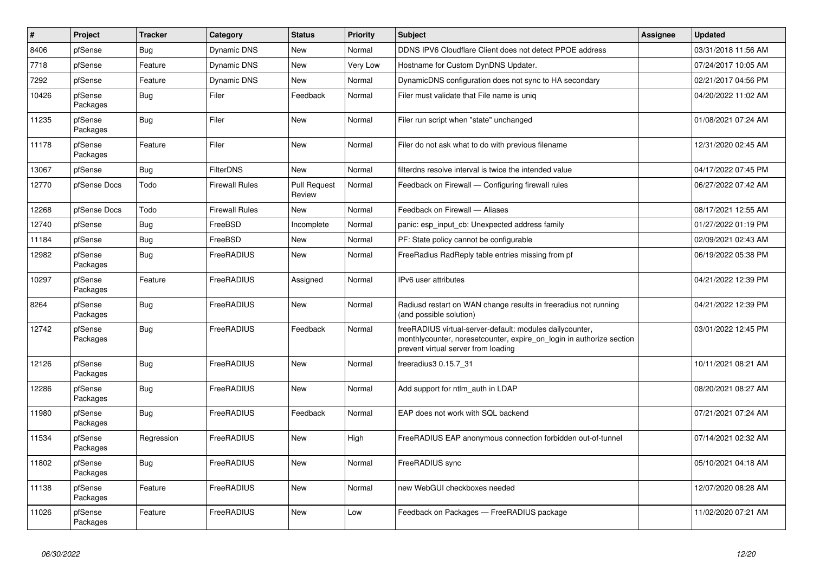| $\vert$ # | Project             | <b>Tracker</b> | Category              | <b>Status</b>                 | <b>Priority</b> | <b>Subject</b>                                                                                                                                                          | <b>Assignee</b> | <b>Updated</b>      |
|-----------|---------------------|----------------|-----------------------|-------------------------------|-----------------|-------------------------------------------------------------------------------------------------------------------------------------------------------------------------|-----------------|---------------------|
| 8406      | pfSense             | Bug            | Dynamic DNS           | New                           | Normal          | DDNS IPV6 Cloudflare Client does not detect PPOE address                                                                                                                |                 | 03/31/2018 11:56 AM |
| 7718      | pfSense             | Feature        | Dynamic DNS           | <b>New</b>                    | Very Low        | Hostname for Custom DynDNS Updater.                                                                                                                                     |                 | 07/24/2017 10:05 AM |
| 7292      | pfSense             | Feature        | <b>Dynamic DNS</b>    | <b>New</b>                    | Normal          | DynamicDNS configuration does not sync to HA secondary                                                                                                                  |                 | 02/21/2017 04:56 PM |
| 10426     | pfSense<br>Packages | <b>Bug</b>     | Filer                 | Feedback                      | Normal          | Filer must validate that File name is uniq                                                                                                                              |                 | 04/20/2022 11:02 AM |
| 11235     | pfSense<br>Packages | <b>Bug</b>     | Filer                 | <b>New</b>                    | Normal          | Filer run script when "state" unchanged                                                                                                                                 |                 | 01/08/2021 07:24 AM |
| 11178     | pfSense<br>Packages | Feature        | Filer                 | New                           | Normal          | Filer do not ask what to do with previous filename                                                                                                                      |                 | 12/31/2020 02:45 AM |
| 13067     | pfSense             | Bug            | <b>FilterDNS</b>      | <b>New</b>                    | Normal          | filterdns resolve interval is twice the intended value                                                                                                                  |                 | 04/17/2022 07:45 PM |
| 12770     | pfSense Docs        | Todo           | <b>Firewall Rules</b> | <b>Pull Request</b><br>Review | Normal          | Feedback on Firewall - Configuring firewall rules                                                                                                                       |                 | 06/27/2022 07:42 AM |
| 12268     | pfSense Docs        | Todo           | <b>Firewall Rules</b> | <b>New</b>                    | Normal          | Feedback on Firewall - Aliases                                                                                                                                          |                 | 08/17/2021 12:55 AM |
| 12740     | pfSense             | Bug            | FreeBSD               | Incomplete                    | Normal          | panic: esp_input_cb: Unexpected address family                                                                                                                          |                 | 01/27/2022 01:19 PM |
| 11184     | pfSense             | <b>Bug</b>     | FreeBSD               | New                           | Normal          | PF: State policy cannot be configurable                                                                                                                                 |                 | 02/09/2021 02:43 AM |
| 12982     | pfSense<br>Packages | Bug            | FreeRADIUS            | <b>New</b>                    | Normal          | FreeRadius RadReply table entries missing from pf                                                                                                                       |                 | 06/19/2022 05:38 PM |
| 10297     | pfSense<br>Packages | Feature        | FreeRADIUS            | Assigned                      | Normal          | IPv6 user attributes                                                                                                                                                    |                 | 04/21/2022 12:39 PM |
| 8264      | pfSense<br>Packages | Bug            | FreeRADIUS            | New                           | Normal          | Radiusd restart on WAN change results in freeradius not running<br>(and possible solution)                                                                              |                 | 04/21/2022 12:39 PM |
| 12742     | pfSense<br>Packages | Bug            | FreeRADIUS            | Feedback                      | Normal          | freeRADIUS virtual-server-default: modules dailycounter,<br>monthlycounter, noresetcounter, expire on login in authorize section<br>prevent virtual server from loading |                 | 03/01/2022 12:45 PM |
| 12126     | pfSense<br>Packages | <b>Bug</b>     | FreeRADIUS            | <b>New</b>                    | Normal          | freeradius3 0.15.7 31                                                                                                                                                   |                 | 10/11/2021 08:21 AM |
| 12286     | pfSense<br>Packages | Bug            | FreeRADIUS            | <b>New</b>                    | Normal          | Add support for ntlm auth in LDAP                                                                                                                                       |                 | 08/20/2021 08:27 AM |
| 11980     | pfSense<br>Packages | <b>Bug</b>     | FreeRADIUS            | Feedback                      | Normal          | EAP does not work with SQL backend                                                                                                                                      |                 | 07/21/2021 07:24 AM |
| 11534     | pfSense<br>Packages | Regression     | FreeRADIUS            | <b>New</b>                    | High            | FreeRADIUS EAP anonymous connection forbidden out-of-tunnel                                                                                                             |                 | 07/14/2021 02:32 AM |
| 11802     | pfSense<br>Packages | Bug            | FreeRADIUS            | <b>New</b>                    | Normal          | FreeRADIUS sync                                                                                                                                                         |                 | 05/10/2021 04:18 AM |
| 11138     | pfSense<br>Packages | Feature        | FreeRADIUS            | <b>New</b>                    | Normal          | new WebGUI checkboxes needed                                                                                                                                            |                 | 12/07/2020 08:28 AM |
| 11026     | pfSense<br>Packages | Feature        | FreeRADIUS            | <b>New</b>                    | Low             | Feedback on Packages - FreeRADIUS package                                                                                                                               |                 | 11/02/2020 07:21 AM |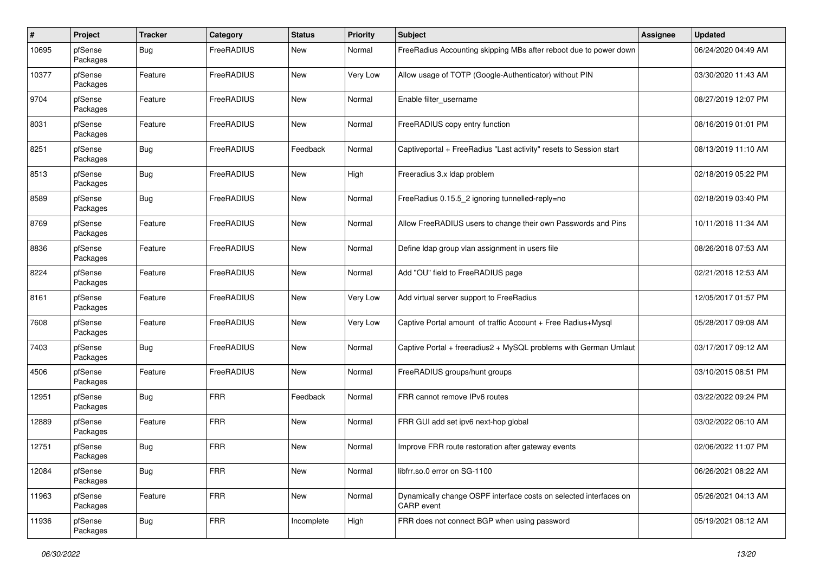| $\pmb{\#}$ | Project             | <b>Tracker</b> | Category   | <b>Status</b> | <b>Priority</b> | Subject                                                                         | Assignee | <b>Updated</b>      |
|------------|---------------------|----------------|------------|---------------|-----------------|---------------------------------------------------------------------------------|----------|---------------------|
| 10695      | pfSense<br>Packages | Bug            | FreeRADIUS | New           | Normal          | FreeRadius Accounting skipping MBs after reboot due to power down               |          | 06/24/2020 04:49 AM |
| 10377      | pfSense<br>Packages | Feature        | FreeRADIUS | New           | Very Low        | Allow usage of TOTP (Google-Authenticator) without PIN                          |          | 03/30/2020 11:43 AM |
| 9704       | pfSense<br>Packages | Feature        | FreeRADIUS | <b>New</b>    | Normal          | Enable filter_username                                                          |          | 08/27/2019 12:07 PM |
| 8031       | pfSense<br>Packages | Feature        | FreeRADIUS | <b>New</b>    | Normal          | FreeRADIUS copy entry function                                                  |          | 08/16/2019 01:01 PM |
| 8251       | pfSense<br>Packages | Bug            | FreeRADIUS | Feedback      | Normal          | Captiveportal + FreeRadius "Last activity" resets to Session start              |          | 08/13/2019 11:10 AM |
| 8513       | pfSense<br>Packages | Bug            | FreeRADIUS | New           | High            | Freeradius 3.x Idap problem                                                     |          | 02/18/2019 05:22 PM |
| 8589       | pfSense<br>Packages | <b>Bug</b>     | FreeRADIUS | New           | Normal          | FreeRadius 0.15.5_2 ignoring tunnelled-reply=no                                 |          | 02/18/2019 03:40 PM |
| 8769       | pfSense<br>Packages | Feature        | FreeRADIUS | New           | Normal          | Allow FreeRADIUS users to change their own Passwords and Pins                   |          | 10/11/2018 11:34 AM |
| 8836       | pfSense<br>Packages | Feature        | FreeRADIUS | New           | Normal          | Define Idap group vlan assignment in users file                                 |          | 08/26/2018 07:53 AM |
| 8224       | pfSense<br>Packages | Feature        | FreeRADIUS | New           | Normal          | Add "OU" field to FreeRADIUS page                                               |          | 02/21/2018 12:53 AM |
| 8161       | pfSense<br>Packages | Feature        | FreeRADIUS | <b>New</b>    | Very Low        | Add virtual server support to FreeRadius                                        |          | 12/05/2017 01:57 PM |
| 7608       | pfSense<br>Packages | Feature        | FreeRADIUS | New           | Very Low        | Captive Portal amount of traffic Account + Free Radius+Mysql                    |          | 05/28/2017 09:08 AM |
| 7403       | pfSense<br>Packages | Bug            | FreeRADIUS | New           | Normal          | Captive Portal + freeradius2 + MySQL problems with German Umlaut                |          | 03/17/2017 09:12 AM |
| 4506       | pfSense<br>Packages | Feature        | FreeRADIUS | New           | Normal          | FreeRADIUS groups/hunt groups                                                   |          | 03/10/2015 08:51 PM |
| 12951      | pfSense<br>Packages | <b>Bug</b>     | <b>FRR</b> | Feedback      | Normal          | FRR cannot remove IPv6 routes                                                   |          | 03/22/2022 09:24 PM |
| 12889      | pfSense<br>Packages | Feature        | <b>FRR</b> | New           | Normal          | FRR GUI add set ipv6 next-hop global                                            |          | 03/02/2022 06:10 AM |
| 12751      | pfSense<br>Packages | <b>Bug</b>     | <b>FRR</b> | <b>New</b>    | Normal          | Improve FRR route restoration after gateway events                              |          | 02/06/2022 11:07 PM |
| 12084      | pfSense<br>Packages | <b>Bug</b>     | <b>FRR</b> | New           | Normal          | libfrr.so.0 error on SG-1100                                                    |          | 06/26/2021 08:22 AM |
| 11963      | pfSense<br>Packages | Feature        | <b>FRR</b> | New           | Normal          | Dynamically change OSPF interface costs on selected interfaces on<br>CARP event |          | 05/26/2021 04:13 AM |
| 11936      | pfSense<br>Packages | <b>Bug</b>     | <b>FRR</b> | Incomplete    | High            | FRR does not connect BGP when using password                                    |          | 05/19/2021 08:12 AM |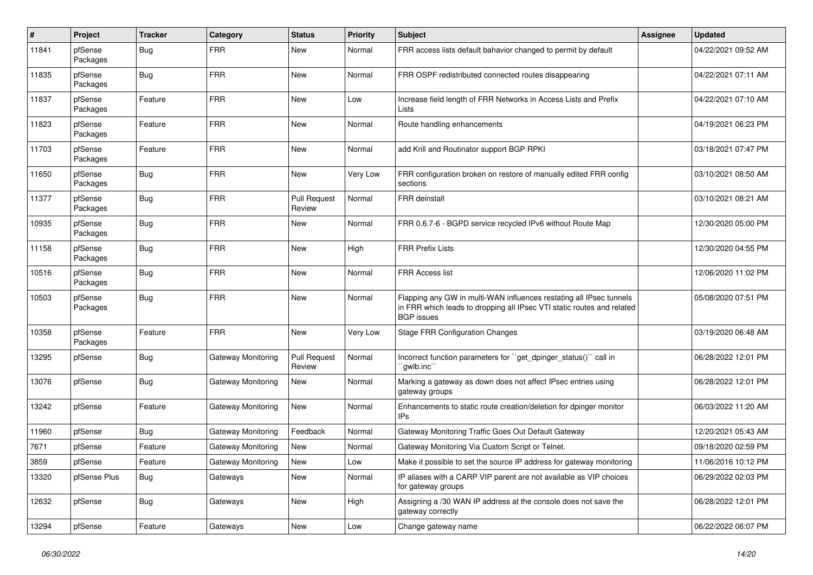| #     | Project             | <b>Tracker</b> | Category           | <b>Status</b>                 | <b>Priority</b> | Subject                                                                                                                                                            | <b>Assignee</b> | <b>Updated</b>      |
|-------|---------------------|----------------|--------------------|-------------------------------|-----------------|--------------------------------------------------------------------------------------------------------------------------------------------------------------------|-----------------|---------------------|
| 11841 | pfSense<br>Packages | <b>Bug</b>     | <b>FRR</b>         | New                           | Normal          | FRR access lists default bahavior changed to permit by default                                                                                                     |                 | 04/22/2021 09:52 AM |
| 11835 | pfSense<br>Packages | <b>Bug</b>     | <b>FRR</b>         | <b>New</b>                    | Normal          | FRR OSPF redistributed connected routes disappearing                                                                                                               |                 | 04/22/2021 07:11 AM |
| 11837 | pfSense<br>Packages | Feature        | <b>FRR</b>         | <b>New</b>                    | Low             | Increase field length of FRR Networks in Access Lists and Prefix<br>Lists                                                                                          |                 | 04/22/2021 07:10 AM |
| 11823 | pfSense<br>Packages | Feature        | <b>FRR</b>         | New                           | Normal          | Route handling enhancements                                                                                                                                        |                 | 04/19/2021 06:23 PM |
| 11703 | pfSense<br>Packages | Feature        | <b>FRR</b>         | New                           | Normal          | add Krill and Routinator support BGP RPKI                                                                                                                          |                 | 03/18/2021 07:47 PM |
| 11650 | pfSense<br>Packages | Bug            | <b>FRR</b>         | New                           | Very Low        | FRR configuration broken on restore of manually edited FRR config<br>sections                                                                                      |                 | 03/10/2021 08:50 AM |
| 11377 | pfSense<br>Packages | <b>Bug</b>     | <b>FRR</b>         | <b>Pull Request</b><br>Review | Normal          | FRR deinstall                                                                                                                                                      |                 | 03/10/2021 08:21 AM |
| 10935 | pfSense<br>Packages | <b>Bug</b>     | <b>FRR</b>         | New                           | Normal          | FRR 0.6.7-6 - BGPD service recycled IPv6 without Route Map                                                                                                         |                 | 12/30/2020 05:00 PM |
| 11158 | pfSense<br>Packages | <b>Bug</b>     | <b>FRR</b>         | <b>New</b>                    | High            | <b>FRR Prefix Lists</b>                                                                                                                                            |                 | 12/30/2020 04:55 PM |
| 10516 | pfSense<br>Packages | Bug            | <b>FRR</b>         | New                           | Normal          | <b>FRR Access list</b>                                                                                                                                             |                 | 12/06/2020 11:02 PM |
| 10503 | pfSense<br>Packages | <b>Bug</b>     | <b>FRR</b>         | <b>New</b>                    | Normal          | Flapping any GW in multi-WAN influences restating all IPsec tunnels<br>in FRR which leads to dropping all IPsec VTI static routes and related<br><b>BGP</b> issues |                 | 05/08/2020 07:51 PM |
| 10358 | pfSense<br>Packages | Feature        | <b>FRR</b>         | <b>New</b>                    | Very Low        | <b>Stage FRR Configuration Changes</b>                                                                                                                             |                 | 03/19/2020 06:48 AM |
| 13295 | pfSense             | Bug            | Gateway Monitoring | <b>Pull Request</b><br>Review | Normal          | Incorrect function parameters for "get_dpinger_status()" call in<br>`qwlb.inc``                                                                                    |                 | 06/28/2022 12:01 PM |
| 13076 | pfSense             | Bug            | Gateway Monitoring | New                           | Normal          | Marking a gateway as down does not affect IPsec entries using<br>gateway groups                                                                                    |                 | 06/28/2022 12:01 PM |
| 13242 | pfSense             | Feature        | Gateway Monitoring | New                           | Normal          | Enhancements to static route creation/deletion for dpinger monitor<br>IPs                                                                                          |                 | 06/03/2022 11:20 AM |
| 11960 | pfSense             | Bug            | Gateway Monitoring | Feedback                      | Normal          | Gateway Monitoring Traffic Goes Out Default Gateway                                                                                                                |                 | 12/20/2021 05:43 AM |
| 7671  | pfSense             | Feature        | Gateway Monitoring | New                           | Normal          | Gateway Monitoring Via Custom Script or Telnet.                                                                                                                    |                 | 09/18/2020 02:59 PM |
| 3859  | pfSense             | Feature        | Gateway Monitoring | New                           | Low             | Make it possible to set the source IP address for gateway monitoring                                                                                               |                 | 11/06/2016 10:12 PM |
| 13320 | pfSense Plus        | Bug            | Gateways           | New                           | Normal          | IP aliases with a CARP VIP parent are not available as VIP choices<br>for gateway groups                                                                           |                 | 06/29/2022 02:03 PM |
| 12632 | pfSense             | <b>Bug</b>     | Gateways           | New                           | High            | Assigning a /30 WAN IP address at the console does not save the<br>gateway correctly                                                                               |                 | 06/28/2022 12:01 PM |
| 13294 | pfSense             | Feature        | Gateways           | New                           | Low             | Change gateway name                                                                                                                                                |                 | 06/22/2022 06:07 PM |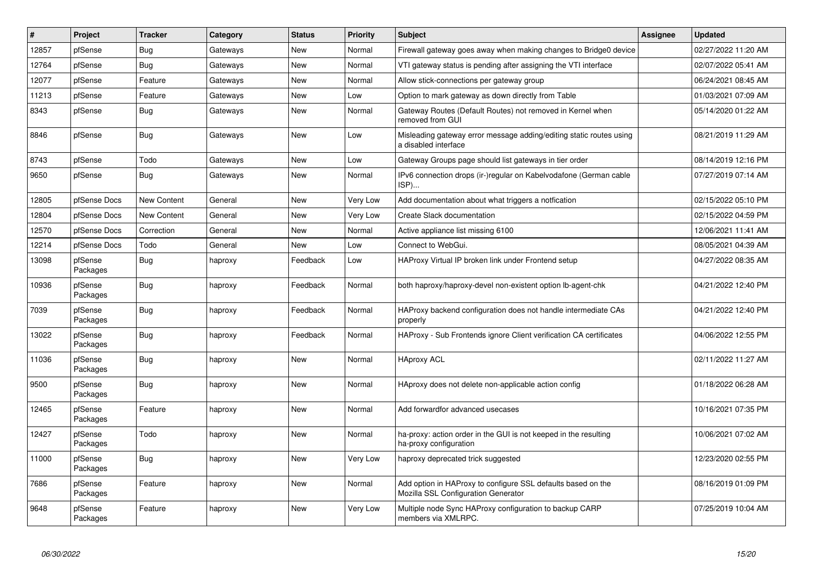| #     | Project             | <b>Tracker</b> | Category | <b>Status</b> | <b>Priority</b> | <b>Subject</b>                                                                                      | <b>Assignee</b> | <b>Updated</b>      |
|-------|---------------------|----------------|----------|---------------|-----------------|-----------------------------------------------------------------------------------------------------|-----------------|---------------------|
| 12857 | pfSense             | <b>Bug</b>     | Gateways | New           | Normal          | Firewall gateway goes away when making changes to Bridge0 device                                    |                 | 02/27/2022 11:20 AM |
| 12764 | pfSense             | <b>Bug</b>     | Gateways | New           | Normal          | VTI gateway status is pending after assigning the VTI interface                                     |                 | 02/07/2022 05:41 AM |
| 12077 | pfSense             | Feature        | Gateways | New           | Normal          | Allow stick-connections per gateway group                                                           |                 | 06/24/2021 08:45 AM |
| 11213 | pfSense             | Feature        | Gateways | <b>New</b>    | Low             | Option to mark gateway as down directly from Table                                                  |                 | 01/03/2021 07:09 AM |
| 8343  | pfSense             | Bug            | Gateways | New           | Normal          | Gateway Routes (Default Routes) not removed in Kernel when<br>removed from GUI                      |                 | 05/14/2020 01:22 AM |
| 8846  | pfSense             | Bug            | Gateways | <b>New</b>    | Low             | Misleading gateway error message adding/editing static routes using<br>a disabled interface         |                 | 08/21/2019 11:29 AM |
| 8743  | pfSense             | Todo           | Gateways | <b>New</b>    | Low             | Gateway Groups page should list gateways in tier order                                              |                 | 08/14/2019 12:16 PM |
| 9650  | pfSense             | <b>Bug</b>     | Gateways | New           | Normal          | IPv6 connection drops (ir-)regular on Kabelvodafone (German cable<br>ISP)                           |                 | 07/27/2019 07:14 AM |
| 12805 | pfSense Docs        | New Content    | General  | <b>New</b>    | Very Low        | Add documentation about what triggers a notfication                                                 |                 | 02/15/2022 05:10 PM |
| 12804 | pfSense Docs        | New Content    | General  | <b>New</b>    | Very Low        | Create Slack documentation                                                                          |                 | 02/15/2022 04:59 PM |
| 12570 | pfSense Docs        | Correction     | General  | <b>New</b>    | Normal          | Active appliance list missing 6100                                                                  |                 | 12/06/2021 11:41 AM |
| 12214 | pfSense Docs        | Todo           | General  | New           | Low             | Connect to WebGui.                                                                                  |                 | 08/05/2021 04:39 AM |
| 13098 | pfSense<br>Packages | Bug            | haproxy  | Feedback      | Low             | HAProxy Virtual IP broken link under Frontend setup                                                 |                 | 04/27/2022 08:35 AM |
| 10936 | pfSense<br>Packages | <b>Bug</b>     | haproxy  | Feedback      | Normal          | both haproxy/haproxy-devel non-existent option Ib-agent-chk                                         |                 | 04/21/2022 12:40 PM |
| 7039  | pfSense<br>Packages | <b>Bug</b>     | haproxy  | Feedback      | Normal          | HAProxy backend configuration does not handle intermediate CAs<br>properly                          |                 | 04/21/2022 12:40 PM |
| 13022 | pfSense<br>Packages | <b>Bug</b>     | haproxy  | Feedback      | Normal          | HAProxy - Sub Frontends ignore Client verification CA certificates                                  |                 | 04/06/2022 12:55 PM |
| 11036 | pfSense<br>Packages | <b>Bug</b>     | haproxy  | New           | Normal          | <b>HAproxy ACL</b>                                                                                  |                 | 02/11/2022 11:27 AM |
| 9500  | pfSense<br>Packages | Bug            | haproxy  | New           | Normal          | HAproxy does not delete non-applicable action config                                                |                 | 01/18/2022 06:28 AM |
| 12465 | pfSense<br>Packages | Feature        | haproxy  | <b>New</b>    | Normal          | Add forwardfor advanced usecases                                                                    |                 | 10/16/2021 07:35 PM |
| 12427 | pfSense<br>Packages | Todo           | haproxy  | <b>New</b>    | Normal          | ha-proxy: action order in the GUI is not keeped in the resulting<br>ha-proxy configuration          |                 | 10/06/2021 07:02 AM |
| 11000 | pfSense<br>Packages | Bug            | haproxy  | <b>New</b>    | Very Low        | haproxy deprecated trick suggested                                                                  |                 | 12/23/2020 02:55 PM |
| 7686  | pfSense<br>Packages | Feature        | haproxy  | <b>New</b>    | Normal          | Add option in HAProxy to configure SSL defaults based on the<br>Mozilla SSL Configuration Generator |                 | 08/16/2019 01:09 PM |
| 9648  | pfSense<br>Packages | Feature        | haproxy  | <b>New</b>    | Very Low        | Multiple node Sync HAProxy configuration to backup CARP<br>members via XMLRPC.                      |                 | 07/25/2019 10:04 AM |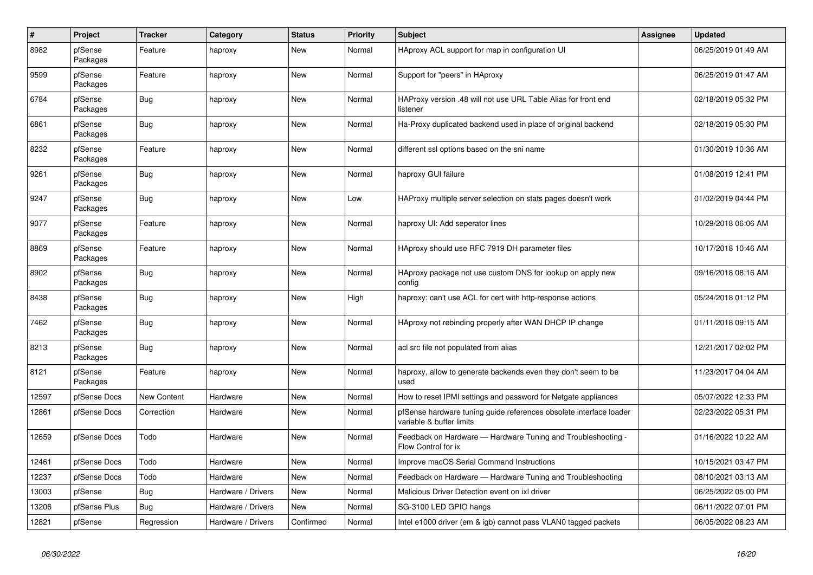| $\sharp$ | Project             | <b>Tracker</b>     | Category           | <b>Status</b> | Priority | <b>Subject</b>                                                                                 | Assignee | <b>Updated</b>      |
|----------|---------------------|--------------------|--------------------|---------------|----------|------------------------------------------------------------------------------------------------|----------|---------------------|
| 8982     | pfSense<br>Packages | Feature            | haproxy            | New           | Normal   | HAproxy ACL support for map in configuration UI                                                |          | 06/25/2019 01:49 AM |
| 9599     | pfSense<br>Packages | Feature            | haproxy            | <b>New</b>    | Normal   | Support for "peers" in HAproxy                                                                 |          | 06/25/2019 01:47 AM |
| 6784     | pfSense<br>Packages | <b>Bug</b>         | haproxy            | New           | Normal   | HAProxy version .48 will not use URL Table Alias for front end<br>listener                     |          | 02/18/2019 05:32 PM |
| 6861     | pfSense<br>Packages | Bug                | haproxy            | <b>New</b>    | Normal   | Ha-Proxy duplicated backend used in place of original backend                                  |          | 02/18/2019 05:30 PM |
| 8232     | pfSense<br>Packages | Feature            | haproxy            | <b>New</b>    | Normal   | different ssl options based on the sni name                                                    |          | 01/30/2019 10:36 AM |
| 9261     | pfSense<br>Packages | <b>Bug</b>         | haproxy            | New           | Normal   | haproxy GUI failure                                                                            |          | 01/08/2019 12:41 PM |
| 9247     | pfSense<br>Packages | Bug                | haproxy            | New           | Low      | HAProxy multiple server selection on stats pages doesn't work                                  |          | 01/02/2019 04:44 PM |
| 9077     | pfSense<br>Packages | Feature            | haproxy            | <b>New</b>    | Normal   | haproxy UI: Add seperator lines                                                                |          | 10/29/2018 06:06 AM |
| 8869     | pfSense<br>Packages | Feature            | haproxy            | <b>New</b>    | Normal   | HAproxy should use RFC 7919 DH parameter files                                                 |          | 10/17/2018 10:46 AM |
| 8902     | pfSense<br>Packages | Bug                | haproxy            | New           | Normal   | HAproxy package not use custom DNS for lookup on apply new<br>config                           |          | 09/16/2018 08:16 AM |
| 8438     | pfSense<br>Packages | Bug                | haproxy            | New           | High     | haproxy: can't use ACL for cert with http-response actions                                     |          | 05/24/2018 01:12 PM |
| 7462     | pfSense<br>Packages | <b>Bug</b>         | haproxy            | New           | Normal   | HAproxy not rebinding properly after WAN DHCP IP change                                        |          | 01/11/2018 09:15 AM |
| 8213     | pfSense<br>Packages | <b>Bug</b>         | haproxy            | <b>New</b>    | Normal   | acl src file not populated from alias                                                          |          | 12/21/2017 02:02 PM |
| 8121     | pfSense<br>Packages | Feature            | haproxy            | New           | Normal   | haproxy, allow to generate backends even they don't seem to be<br>used                         |          | 11/23/2017 04:04 AM |
| 12597    | pfSense Docs        | <b>New Content</b> | Hardware           | New           | Normal   | How to reset IPMI settings and password for Netgate appliances                                 |          | 05/07/2022 12:33 PM |
| 12861    | pfSense Docs        | Correction         | Hardware           | New           | Normal   | pfSense hardware tuning guide references obsolete interface loader<br>variable & buffer limits |          | 02/23/2022 05:31 PM |
| 12659    | pfSense Docs        | Todo               | Hardware           | New           | Normal   | Feedback on Hardware - Hardware Tuning and Troubleshooting -<br>Flow Control for ix            |          | 01/16/2022 10:22 AM |
| 12461    | pfSense Docs        | Todo               | Hardware           | <b>New</b>    | Normal   | Improve macOS Serial Command Instructions                                                      |          | 10/15/2021 03:47 PM |
| 12237    | pfSense Docs        | Todo               | Hardware           | New           | Normal   | Feedback on Hardware — Hardware Tuning and Troubleshooting                                     |          | 08/10/2021 03:13 AM |
| 13003    | pfSense             | <b>Bug</b>         | Hardware / Drivers | New           | Normal   | Malicious Driver Detection event on ixl driver                                                 |          | 06/25/2022 05:00 PM |
| 13206    | pfSense Plus        | <b>Bug</b>         | Hardware / Drivers | New           | Normal   | SG-3100 LED GPIO hangs                                                                         |          | 06/11/2022 07:01 PM |
| 12821    | pfSense             | Regression         | Hardware / Drivers | Confirmed     | Normal   | Intel e1000 driver (em & igb) cannot pass VLAN0 tagged packets                                 |          | 06/05/2022 08:23 AM |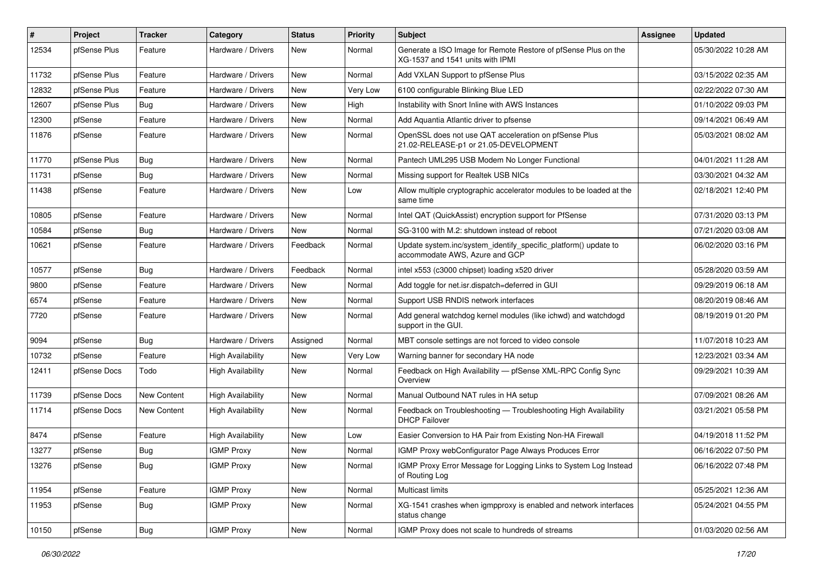| ∥ #   | Project      | <b>Tracker</b> | Category                 | <b>Status</b> | Priority | <b>Subject</b>                                                                                     | <b>Assignee</b> | <b>Updated</b>      |
|-------|--------------|----------------|--------------------------|---------------|----------|----------------------------------------------------------------------------------------------------|-----------------|---------------------|
| 12534 | pfSense Plus | Feature        | Hardware / Drivers       | New           | Normal   | Generate a ISO Image for Remote Restore of pfSense Plus on the<br>XG-1537 and 1541 units with IPMI |                 | 05/30/2022 10:28 AM |
| 11732 | pfSense Plus | Feature        | Hardware / Drivers       | New           | Normal   | Add VXLAN Support to pfSense Plus                                                                  |                 | 03/15/2022 02:35 AM |
| 12832 | pfSense Plus | Feature        | Hardware / Drivers       | New           | Very Low | 6100 configurable Blinking Blue LED                                                                |                 | 02/22/2022 07:30 AM |
| 12607 | pfSense Plus | Bug            | Hardware / Drivers       | New           | High     | Instability with Snort Inline with AWS Instances                                                   |                 | 01/10/2022 09:03 PM |
| 12300 | pfSense      | Feature        | Hardware / Drivers       | New           | Normal   | Add Aquantia Atlantic driver to pfsense                                                            |                 | 09/14/2021 06:49 AM |
| 11876 | pfSense      | Feature        | Hardware / Drivers       | New           | Normal   | OpenSSL does not use QAT acceleration on pfSense Plus<br>21.02-RELEASE-p1 or 21.05-DEVELOPMENT     |                 | 05/03/2021 08:02 AM |
| 11770 | pfSense Plus | Bug            | Hardware / Drivers       | New           | Normal   | Pantech UML295 USB Modem No Longer Functional                                                      |                 | 04/01/2021 11:28 AM |
| 11731 | pfSense      | Bug            | Hardware / Drivers       | New           | Normal   | Missing support for Realtek USB NICs                                                               |                 | 03/30/2021 04:32 AM |
| 11438 | pfSense      | Feature        | Hardware / Drivers       | New           | Low      | Allow multiple cryptographic accelerator modules to be loaded at the<br>same time                  |                 | 02/18/2021 12:40 PM |
| 10805 | pfSense      | Feature        | Hardware / Drivers       | New           | Normal   | Intel QAT (QuickAssist) encryption support for PfSense                                             |                 | 07/31/2020 03:13 PM |
| 10584 | pfSense      | Bug            | Hardware / Drivers       | New           | Normal   | SG-3100 with M.2: shutdown instead of reboot                                                       |                 | 07/21/2020 03:08 AM |
| 10621 | pfSense      | Feature        | Hardware / Drivers       | Feedback      | Normal   | Update system.inc/system_identify_specific_platform() update to<br>accommodate AWS, Azure and GCP  |                 | 06/02/2020 03:16 PM |
| 10577 | pfSense      | Bug            | Hardware / Drivers       | Feedback      | Normal   | intel x553 (c3000 chipset) loading x520 driver                                                     |                 | 05/28/2020 03:59 AM |
| 9800  | pfSense      | Feature        | Hardware / Drivers       | New           | Normal   | Add toggle for net.isr.dispatch=deferred in GUI                                                    |                 | 09/29/2019 06:18 AM |
| 6574  | pfSense      | Feature        | Hardware / Drivers       | New           | Normal   | Support USB RNDIS network interfaces                                                               |                 | 08/20/2019 08:46 AM |
| 7720  | pfSense      | Feature        | Hardware / Drivers       | New           | Normal   | Add general watchdog kernel modules (like ichwd) and watchdogd<br>support in the GUI.              |                 | 08/19/2019 01:20 PM |
| 9094  | pfSense      | Bug            | Hardware / Drivers       | Assigned      | Normal   | MBT console settings are not forced to video console                                               |                 | 11/07/2018 10:23 AM |
| 10732 | pfSense      | Feature        | <b>High Availability</b> | New           | Very Low | Warning banner for secondary HA node                                                               |                 | 12/23/2021 03:34 AM |
| 12411 | pfSense Docs | Todo           | <b>High Availability</b> | New           | Normal   | Feedback on High Availability - pfSense XML-RPC Config Sync<br>Overview                            |                 | 09/29/2021 10:39 AM |
| 11739 | pfSense Docs | New Content    | <b>High Availability</b> | New           | Normal   | Manual Outbound NAT rules in HA setup                                                              |                 | 07/09/2021 08:26 AM |
| 11714 | pfSense Docs | New Content    | <b>High Availability</b> | New           | Normal   | Feedback on Troubleshooting - Troubleshooting High Availability<br><b>DHCP Failover</b>            |                 | 03/21/2021 05:58 PM |
| 8474  | pfSense      | Feature        | <b>High Availability</b> | New           | Low      | Easier Conversion to HA Pair from Existing Non-HA Firewall                                         |                 | 04/19/2018 11:52 PM |
| 13277 | pfSense      | Bug            | <b>IGMP Proxy</b>        | New           | Normal   | IGMP Proxy webConfigurator Page Always Produces Error                                              |                 | 06/16/2022 07:50 PM |
| 13276 | pfSense      | <b>Bug</b>     | <b>IGMP Proxy</b>        | New           | Normal   | IGMP Proxy Error Message for Logging Links to System Log Instead<br>of Routing Log                 |                 | 06/16/2022 07:48 PM |
| 11954 | pfSense      | Feature        | <b>IGMP Proxy</b>        | New           | Normal   | Multicast limits                                                                                   |                 | 05/25/2021 12:36 AM |
| 11953 | pfSense      | <b>Bug</b>     | <b>IGMP Proxy</b>        | New           | Normal   | XG-1541 crashes when igmpproxy is enabled and network interfaces<br>status change                  |                 | 05/24/2021 04:55 PM |
| 10150 | pfSense      | <b>Bug</b>     | <b>IGMP Proxy</b>        | New           | Normal   | IGMP Proxy does not scale to hundreds of streams                                                   |                 | 01/03/2020 02:56 AM |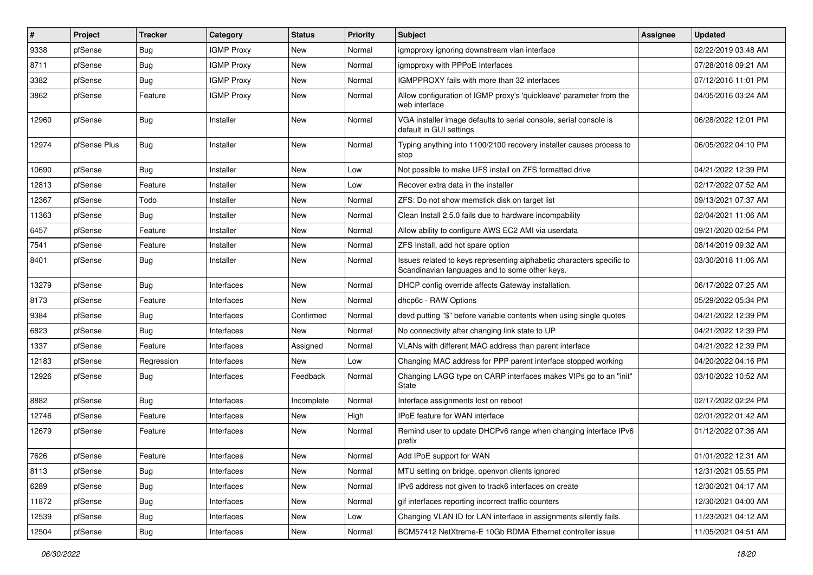| $\vert$ # | Project      | <b>Tracker</b> | Category          | <b>Status</b> | <b>Priority</b> | <b>Subject</b>                                                                                                          | <b>Assignee</b> | <b>Updated</b>      |
|-----------|--------------|----------------|-------------------|---------------|-----------------|-------------------------------------------------------------------------------------------------------------------------|-----------------|---------------------|
| 9338      | pfSense      | Bug            | <b>IGMP Proxy</b> | New           | Normal          | igmpproxy ignoring downstream vlan interface                                                                            |                 | 02/22/2019 03:48 AM |
| 8711      | pfSense      | Bug            | <b>IGMP Proxy</b> | <b>New</b>    | Normal          | igmpproxy with PPPoE Interfaces                                                                                         |                 | 07/28/2018 09:21 AM |
| 3382      | pfSense      | Bug            | <b>IGMP Proxy</b> | New           | Normal          | IGMPPROXY fails with more than 32 interfaces                                                                            |                 | 07/12/2016 11:01 PM |
| 3862      | pfSense      | Feature        | <b>IGMP Proxy</b> | New           | Normal          | Allow configuration of IGMP proxy's 'quickleave' parameter from the<br>web interface                                    |                 | 04/05/2016 03:24 AM |
| 12960     | pfSense      | Bug            | Installer         | <b>New</b>    | Normal          | VGA installer image defaults to serial console, serial console is<br>default in GUI settings                            |                 | 06/28/2022 12:01 PM |
| 12974     | pfSense Plus | Bug            | Installer         | <b>New</b>    | Normal          | Typing anything into 1100/2100 recovery installer causes process to<br>stop                                             |                 | 06/05/2022 04:10 PM |
| 10690     | pfSense      | Bug            | Installer         | <b>New</b>    | Low             | Not possible to make UFS install on ZFS formatted drive                                                                 |                 | 04/21/2022 12:39 PM |
| 12813     | pfSense      | Feature        | Installer         | New           | Low             | Recover extra data in the installer                                                                                     |                 | 02/17/2022 07:52 AM |
| 12367     | pfSense      | Todo           | Installer         | New           | Normal          | ZFS: Do not show memstick disk on target list                                                                           |                 | 09/13/2021 07:37 AM |
| 11363     | pfSense      | <b>Bug</b>     | Installer         | New           | Normal          | Clean Install 2.5.0 fails due to hardware incompability                                                                 |                 | 02/04/2021 11:06 AM |
| 6457      | pfSense      | Feature        | Installer         | New           | Normal          | Allow ability to configure AWS EC2 AMI via userdata                                                                     |                 | 09/21/2020 02:54 PM |
| 7541      | pfSense      | Feature        | Installer         | New           | Normal          | ZFS Install, add hot spare option                                                                                       |                 | 08/14/2019 09:32 AM |
| 8401      | pfSense      | Bug            | Installer         | <b>New</b>    | Normal          | Issues related to keys representing alphabetic characters specific to<br>Scandinavian languages and to some other keys. |                 | 03/30/2018 11:06 AM |
| 13279     | pfSense      | Bug            | Interfaces        | <b>New</b>    | Normal          | DHCP config override affects Gateway installation.                                                                      |                 | 06/17/2022 07:25 AM |
| 8173      | pfSense      | Feature        | Interfaces        | New           | Normal          | dhcp6c - RAW Options                                                                                                    |                 | 05/29/2022 05:34 PM |
| 9384      | pfSense      | Bug            | Interfaces        | Confirmed     | Normal          | devd putting "\$" before variable contents when using single quotes                                                     |                 | 04/21/2022 12:39 PM |
| 6823      | pfSense      | Bug            | Interfaces        | <b>New</b>    | Normal          | No connectivity after changing link state to UP                                                                         |                 | 04/21/2022 12:39 PM |
| 1337      | pfSense      | Feature        | Interfaces        | Assigned      | Normal          | VLANs with different MAC address than parent interface                                                                  |                 | 04/21/2022 12:39 PM |
| 12183     | pfSense      | Regression     | Interfaces        | New           | Low             | Changing MAC address for PPP parent interface stopped working                                                           |                 | 04/20/2022 04:16 PM |
| 12926     | pfSense      | Bug            | Interfaces        | Feedback      | Normal          | Changing LAGG type on CARP interfaces makes VIPs go to an "init"<br><b>State</b>                                        |                 | 03/10/2022 10:52 AM |
| 8882      | pfSense      | Bug            | Interfaces        | Incomplete    | Normal          | Interface assignments lost on reboot                                                                                    |                 | 02/17/2022 02:24 PM |
| 12746     | pfSense      | Feature        | Interfaces        | New           | High            | IPoE feature for WAN interface                                                                                          |                 | 02/01/2022 01:42 AM |
| 12679     | pfSense      | Feature        | Interfaces        | New           | Normal          | Remind user to update DHCPv6 range when changing interface IPv6<br>prefix                                               |                 | 01/12/2022 07:36 AM |
| 7626      | pfSense      | Feature        | Interfaces        | New           | Normal          | Add IPoE support for WAN                                                                                                |                 | 01/01/2022 12:31 AM |
| 8113      | pfSense      | Bug            | Interfaces        | New           | Normal          | MTU setting on bridge, openvpn clients ignored                                                                          |                 | 12/31/2021 05:55 PM |
| 6289      | pfSense      | <b>Bug</b>     | Interfaces        | New           | Normal          | IPv6 address not given to track6 interfaces on create                                                                   |                 | 12/30/2021 04:17 AM |
| 11872     | pfSense      | <b>Bug</b>     | Interfaces        | New           | Normal          | gif interfaces reporting incorrect traffic counters                                                                     |                 | 12/30/2021 04:00 AM |
| 12539     | pfSense      | <b>Bug</b>     | Interfaces        | New           | Low             | Changing VLAN ID for LAN interface in assignments silently fails.                                                       |                 | 11/23/2021 04:12 AM |
| 12504     | pfSense      | Bug            | Interfaces        | New           | Normal          | BCM57412 NetXtreme-E 10Gb RDMA Ethernet controller issue                                                                |                 | 11/05/2021 04:51 AM |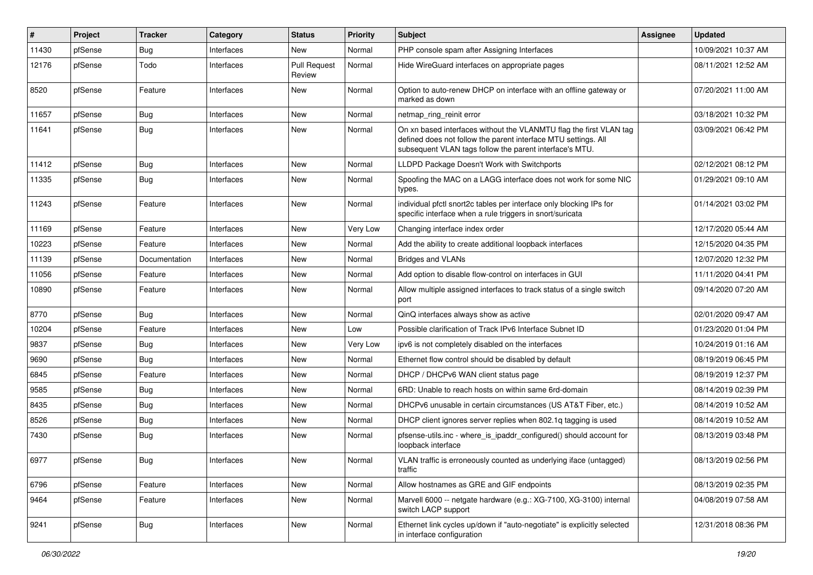| #     | Project | <b>Tracker</b> | Category   | <b>Status</b>                 | <b>Priority</b> | <b>Subject</b>                                                                                                                                                                                  | <b>Assignee</b> | <b>Updated</b>      |
|-------|---------|----------------|------------|-------------------------------|-----------------|-------------------------------------------------------------------------------------------------------------------------------------------------------------------------------------------------|-----------------|---------------------|
| 11430 | pfSense | Bug            | Interfaces | New                           | Normal          | PHP console spam after Assigning Interfaces                                                                                                                                                     |                 | 10/09/2021 10:37 AM |
| 12176 | pfSense | Todo           | Interfaces | <b>Pull Request</b><br>Review | Normal          | Hide WireGuard interfaces on appropriate pages                                                                                                                                                  |                 | 08/11/2021 12:52 AM |
| 8520  | pfSense | Feature        | Interfaces | New                           | Normal          | Option to auto-renew DHCP on interface with an offline gateway or<br>marked as down                                                                                                             |                 | 07/20/2021 11:00 AM |
| 11657 | pfSense | Bug            | Interfaces | New                           | Normal          | netmap_ring_reinit error                                                                                                                                                                        |                 | 03/18/2021 10:32 PM |
| 11641 | pfSense | Bug            | Interfaces | New                           | Normal          | On xn based interfaces without the VLANMTU flag the first VLAN tag<br>defined does not follow the parent interface MTU settings. All<br>subsequent VLAN tags follow the parent interface's MTU. |                 | 03/09/2021 06:42 PM |
| 11412 | pfSense | Bug            | Interfaces | New                           | Normal          | LLDPD Package Doesn't Work with Switchports                                                                                                                                                     |                 | 02/12/2021 08:12 PM |
| 11335 | pfSense | Bug            | Interfaces | New                           | Normal          | Spoofing the MAC on a LAGG interface does not work for some NIC<br>types.                                                                                                                       |                 | 01/29/2021 09:10 AM |
| 11243 | pfSense | Feature        | Interfaces | New                           | Normal          | individual pfctl snort2c tables per interface only blocking IPs for<br>specific interface when a rule triggers in snort/suricata                                                                |                 | 01/14/2021 03:02 PM |
| 11169 | pfSense | Feature        | Interfaces | New                           | Very Low        | Changing interface index order                                                                                                                                                                  |                 | 12/17/2020 05:44 AM |
| 10223 | pfSense | Feature        | Interfaces | New                           | Normal          | Add the ability to create additional loopback interfaces                                                                                                                                        |                 | 12/15/2020 04:35 PM |
| 11139 | pfSense | Documentation  | Interfaces | New                           | Normal          | <b>Bridges and VLANs</b>                                                                                                                                                                        |                 | 12/07/2020 12:32 PM |
| 11056 | pfSense | Feature        | Interfaces | New                           | Normal          | Add option to disable flow-control on interfaces in GUI                                                                                                                                         |                 | 11/11/2020 04:41 PM |
| 10890 | pfSense | Feature        | Interfaces | New                           | Normal          | Allow multiple assigned interfaces to track status of a single switch<br>port                                                                                                                   |                 | 09/14/2020 07:20 AM |
| 8770  | pfSense | Bug            | Interfaces | New                           | Normal          | QinQ interfaces always show as active                                                                                                                                                           |                 | 02/01/2020 09:47 AM |
| 10204 | pfSense | Feature        | Interfaces | New                           | Low             | Possible clarification of Track IPv6 Interface Subnet ID                                                                                                                                        |                 | 01/23/2020 01:04 PM |
| 9837  | pfSense | Bug            | Interfaces | New                           | Very Low        | ipv6 is not completely disabled on the interfaces                                                                                                                                               |                 | 10/24/2019 01:16 AM |
| 9690  | pfSense | Bug            | Interfaces | New                           | Normal          | Ethernet flow control should be disabled by default                                                                                                                                             |                 | 08/19/2019 06:45 PM |
| 6845  | pfSense | Feature        | Interfaces | New                           | Normal          | DHCP / DHCPv6 WAN client status page                                                                                                                                                            |                 | 08/19/2019 12:37 PM |
| 9585  | pfSense | Bug            | Interfaces | New                           | Normal          | 6RD: Unable to reach hosts on within same 6rd-domain                                                                                                                                            |                 | 08/14/2019 02:39 PM |
| 8435  | pfSense | Bug            | Interfaces | New                           | Normal          | DHCPv6 unusable in certain circumstances (US AT&T Fiber, etc.)                                                                                                                                  |                 | 08/14/2019 10:52 AM |
| 8526  | pfSense | Bug            | Interfaces | New                           | Normal          | DHCP client ignores server replies when 802.1g tagging is used                                                                                                                                  |                 | 08/14/2019 10:52 AM |
| 7430  | pfSense | Bug            | Interfaces | New                           | Normal          | pfsense-utils.inc - where is ipaddr configured() should account for<br>loopback interface                                                                                                       |                 | 08/13/2019 03:48 PM |
| 6977  | pfSense | Bug            | Interfaces | New                           | Normal          | VLAN traffic is erroneously counted as underlying iface (untagged)<br>traffic                                                                                                                   |                 | 08/13/2019 02:56 PM |
| 6796  | pfSense | Feature        | Interfaces | New                           | Normal          | Allow hostnames as GRE and GIF endpoints                                                                                                                                                        |                 | 08/13/2019 02:35 PM |
| 9464  | pfSense | Feature        | Interfaces | New                           | Normal          | Marvell 6000 -- netgate hardware (e.g.: XG-7100, XG-3100) internal<br>switch LACP support                                                                                                       |                 | 04/08/2019 07:58 AM |
| 9241  | pfSense | <b>Bug</b>     | Interfaces | New                           | Normal          | Ethernet link cycles up/down if "auto-negotiate" is explicitly selected<br>in interface configuration                                                                                           |                 | 12/31/2018 08:36 PM |